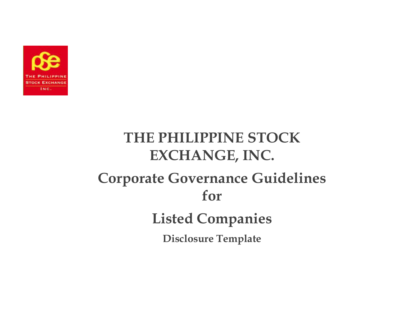

# **THE PHILIPPINE STOCK EXCHANGE, INC. Corporate Governance Guidelines for Listed Companies Disclosure Template**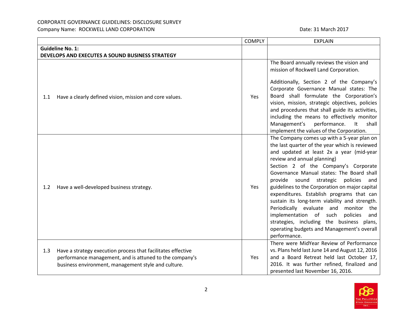# CORPORATE GOVERNANCE GUIDELINES: DISCLOSURE SURVEY

Company Name: ROCKWELL LAND CORPORATION **Date: 31 March 2017** Date: 31 March 2017

|                  |                                                                                                                                                                                | <b>COMPLY</b> | <b>EXPLAIN</b>                                                                                                                                                                                                                                                                                                                                                                                                                                                                                                                                                                                                                                                                                                                                         |
|------------------|--------------------------------------------------------------------------------------------------------------------------------------------------------------------------------|---------------|--------------------------------------------------------------------------------------------------------------------------------------------------------------------------------------------------------------------------------------------------------------------------------------------------------------------------------------------------------------------------------------------------------------------------------------------------------------------------------------------------------------------------------------------------------------------------------------------------------------------------------------------------------------------------------------------------------------------------------------------------------|
|                  | <b>Guideline No. 1:</b>                                                                                                                                                        |               |                                                                                                                                                                                                                                                                                                                                                                                                                                                                                                                                                                                                                                                                                                                                                        |
|                  | DEVELOPS AND EXECUTES A SOUND BUSINESS STRATEGY                                                                                                                                |               |                                                                                                                                                                                                                                                                                                                                                                                                                                                                                                                                                                                                                                                                                                                                                        |
| 1.1              | Have a clearly defined vision, mission and core values.                                                                                                                        | Yes           | The Board annually reviews the vision and<br>mission of Rockwell Land Corporation.<br>Additionally, Section 2 of the Company's<br>Corporate Governance Manual states: The<br>Board shall formulate the Corporation's<br>vision, mission, strategic objectives, policies<br>and procedures that shall guide its activities,<br>including the means to effectively monitor<br>Management's<br>performance.<br>It<br>shall                                                                                                                                                                                                                                                                                                                                |
| 1.2 <sub>2</sub> | Have a well-developed business strategy.                                                                                                                                       | Yes           | implement the values of the Corporation.<br>The Company comes up with a 5-year plan on<br>the last quarter of the year which is reviewed<br>and updated at least 2x a year (mid-year<br>review and annual planning)<br>Section 2 of the Company's Corporate<br>Governance Manual states: The Board shall<br>provide sound strategic<br>policies<br>and<br>guidelines to the Corporation on major capital<br>expenditures. Establish programs that can<br>sustain its long-term viability and strength.<br>Periodically evaluate and monitor<br>the<br>implementation of such<br>policies<br>and<br>strategies, including the business plans,<br>operating budgets and Management's overall<br>performance.<br>There were MidYear Review of Performance |
| 1.3              | Have a strategy execution process that facilitates effective<br>performance management, and is attuned to the company's<br>business environment, management style and culture. | Yes           | vs. Plans held last June 14 and August 12, 2016<br>and a Board Retreat held last October 17,<br>2016. It was further refined, finalized and<br>presented last November 16, 2016.                                                                                                                                                                                                                                                                                                                                                                                                                                                                                                                                                                       |

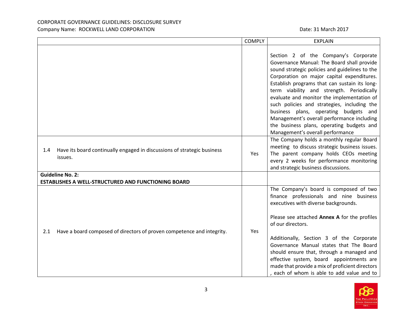|                                                                                           | <b>COMPLY</b> | <b>EXPLAIN</b>                                                                                                                                                                                                                                                                                                                                                                                                                                                                                                                                        |
|-------------------------------------------------------------------------------------------|---------------|-------------------------------------------------------------------------------------------------------------------------------------------------------------------------------------------------------------------------------------------------------------------------------------------------------------------------------------------------------------------------------------------------------------------------------------------------------------------------------------------------------------------------------------------------------|
|                                                                                           |               | Section 2 of the Company's Corporate<br>Governance Manual: The Board shall provide<br>sound strategic policies and guidelines to the<br>Corporation on major capital expenditures.<br>Establish programs that can sustain its long-<br>term viability and strength. Periodically<br>evaluate and monitor the implementation of<br>such policies and strategies, including the<br>business plans, operating budgets and<br>Management's overall performance including<br>the business plans, operating budgets and<br>Management's overall performance |
| Have its board continually engaged in discussions of strategic business<br>1.4<br>issues. | Yes           | The Company holds a monthly regular Board<br>meeting to discuss strategic business issues.<br>The parent company holds CEOs meeting<br>every 2 weeks for performance monitoring<br>and strategic business discussions.                                                                                                                                                                                                                                                                                                                                |
| <b>Guideline No. 2:</b><br><b>ESTABLISHES A WELL-STRUCTURED AND FUNCTIONING BOARD</b>     |               |                                                                                                                                                                                                                                                                                                                                                                                                                                                                                                                                                       |
| Have a board composed of directors of proven competence and integrity.<br>2.1             | Yes           | The Company's board is composed of two<br>finance professionals and nine business<br>executives with diverse backgrounds.<br>Please see attached Annex A for the profiles<br>of our directors.<br>Additionally, Section 3 of the Corporate<br>Governance Manual states that The Board<br>should ensure that, through a managed and<br>effective system, board appointments are<br>made that provide a mix of proficient directors<br>, each of whom is able to add value and to                                                                       |

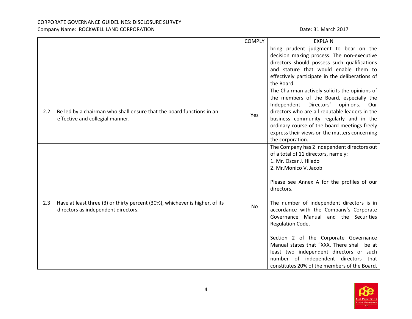|     |                                                                                                                     | <b>COMPLY</b> | <b>EXPLAIN</b>                                                                                                                                                                                                                                                                                                                                                                                                                                                                                                                                                                  |
|-----|---------------------------------------------------------------------------------------------------------------------|---------------|---------------------------------------------------------------------------------------------------------------------------------------------------------------------------------------------------------------------------------------------------------------------------------------------------------------------------------------------------------------------------------------------------------------------------------------------------------------------------------------------------------------------------------------------------------------------------------|
|     |                                                                                                                     |               | bring prudent judgment to bear on the<br>decision making process. The non-executive<br>directors should possess such qualifications<br>and stature that would enable them to<br>effectively participate in the deliberations of<br>the Board.                                                                                                                                                                                                                                                                                                                                   |
| 2.2 | Be led by a chairman who shall ensure that the board functions in an<br>effective and collegial manner.             | Yes           | The Chairman actively solicits the opinions of<br>the members of the Board, especially the<br>Independent<br>Directors'<br>opinions.<br>Our<br>directors who are all reputable leaders in the<br>business community regularly and in the<br>ordinary course of the board meetings freely<br>express their views on the matters concerning<br>the corporation.                                                                                                                                                                                                                   |
| 2.3 | Have at least three (3) or thirty percent (30%), whichever is higher, of its<br>directors as independent directors. | <b>No</b>     | The Company has 2 Independent directors out<br>of a total of 11 directors, namely:<br>1. Mr. Oscar J. Hilado<br>2. Mr.Monico V. Jacob<br>Please see Annex A for the profiles of our<br>directors.<br>The number of independent directors is in<br>accordance with the Company's Corporate<br>Governance Manual and the Securities<br>Regulation Code.<br>Section 2 of the Corporate Governance<br>Manual states that "XXX. There shall be at<br>least two independent directors or such<br>number of independent directors that<br>constitutes 20% of the members of the Board, |

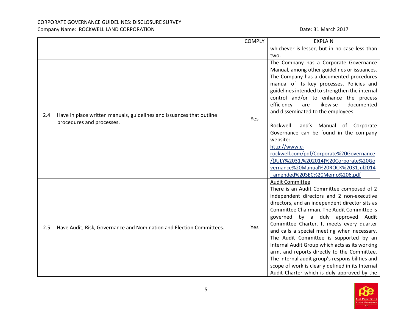|     |                                                                      | <b>COMPLY</b> | <b>EXPLAIN</b>                                                                |
|-----|----------------------------------------------------------------------|---------------|-------------------------------------------------------------------------------|
|     |                                                                      |               | whichever is lesser, but in no case less than                                 |
|     |                                                                      |               | two.                                                                          |
|     |                                                                      |               | The Company has a Corporate Governance                                        |
|     |                                                                      |               | Manual, among other guidelines or issuances.                                  |
|     |                                                                      |               | The Company has a documented procedures                                       |
|     |                                                                      |               | manual of its key processes. Policies and                                     |
|     |                                                                      |               | guidelines intended to strengthen the internal                                |
|     |                                                                      |               | control and/or to enhance the process                                         |
|     |                                                                      |               | efficiency<br>likewise<br>documented<br>are                                   |
| 2.4 | Have in place written manuals, guidelines and issuances that outline |               | and disseminated to the employees.                                            |
|     | procedures and processes.                                            | Yes           |                                                                               |
|     |                                                                      |               | Rockwell Land's Manual of Corporate                                           |
|     |                                                                      |               | Governance can be found in the company                                        |
|     |                                                                      |               | website:                                                                      |
|     |                                                                      |               | http://www.e-                                                                 |
|     |                                                                      |               | rockwell.com/pdf/Corporate%20Governance                                       |
|     |                                                                      |               | /(JULY%2031,%202014)%20Corporate%20Go<br>vernance%20Manual%20ROCK%2031Jul2014 |
|     |                                                                      |               | amended%20SEC%20Memo%206.pdf                                                  |
|     |                                                                      |               | <b>Audit Committee</b>                                                        |
|     |                                                                      |               | There is an Audit Committee composed of 2                                     |
|     |                                                                      |               | independent directors and 2 non-executive                                     |
|     |                                                                      |               | directors, and an independent director sits as                                |
|     |                                                                      |               | Committee Chairman. The Audit Committee is                                    |
|     |                                                                      |               | governed by a duly approved Audit                                             |
|     |                                                                      |               | Committee Charter. It meets every quarter                                     |
| 2.5 | Have Audit, Risk, Governance and Nomination and Election Committees. | Yes           | and calls a special meeting when necessary.                                   |
|     |                                                                      |               | The Audit Committee is supported by an                                        |
|     |                                                                      |               | Internal Audit Group which acts as its working                                |
|     |                                                                      |               | arm, and reports directly to the Committee.                                   |
|     |                                                                      |               | The internal audit group's responsibilities and                               |
|     |                                                                      |               | scope of work is clearly defined in its Internal                              |
|     |                                                                      |               | Audit Charter which is duly approved by the                                   |

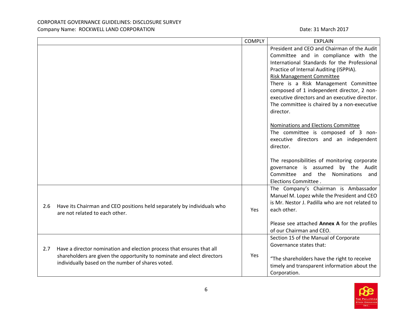|     |                                                                        | <b>COMPLY</b> | <b>EXPLAIN</b>                                  |
|-----|------------------------------------------------------------------------|---------------|-------------------------------------------------|
|     |                                                                        |               | President and CEO and Chairman of the Audit     |
|     |                                                                        |               | Committee and in compliance with the            |
|     |                                                                        |               | International Standards for the Professional    |
|     |                                                                        |               | Practice of Internal Auditing (ISPPIA).         |
|     |                                                                        |               | <b>Risk Management Committee</b>                |
|     |                                                                        |               | There is a Risk Management Committee            |
|     |                                                                        |               | composed of 1 independent director, 2 non-      |
|     |                                                                        |               | executive directors and an executive director.  |
|     |                                                                        |               | The committee is chaired by a non-executive     |
|     |                                                                        |               | director.                                       |
|     |                                                                        |               |                                                 |
|     |                                                                        |               | Nominations and Elections Committee             |
|     |                                                                        |               | The committee is composed of 3 non-             |
|     |                                                                        |               | executive directors and an independent          |
|     |                                                                        |               | director.                                       |
|     |                                                                        |               | The responsibilities of monitoring corporate    |
|     |                                                                        |               | governance is assumed by the Audit              |
|     |                                                                        |               | Committee<br>and the Nominations and            |
|     |                                                                        |               | Elections Committee.                            |
|     |                                                                        |               | The Company's Chairman is Ambassador            |
|     |                                                                        |               | Manuel M. Lopez while the President and CEO     |
|     |                                                                        |               | is Mr. Nestor J. Padilla who are not related to |
| 2.6 | Have its Chairman and CEO positions held separately by individuals who | Yes           | each other.                                     |
|     | are not related to each other.                                         |               |                                                 |
|     |                                                                        |               | Please see attached Annex A for the profiles    |
|     |                                                                        |               | of our Chairman and CEO.                        |
|     |                                                                        |               | Section 15 of the Manual of Corporate           |
| 2.7 | Have a director nomination and election process that ensures that all  |               | Governance states that:                         |
|     | shareholders are given the opportunity to nominate and elect directors | Yes           |                                                 |
|     | individually based on the number of shares voted.                      |               | "The shareholders have the right to receive     |
|     |                                                                        |               | timely and transparent information about the    |
|     |                                                                        |               | Corporation.                                    |

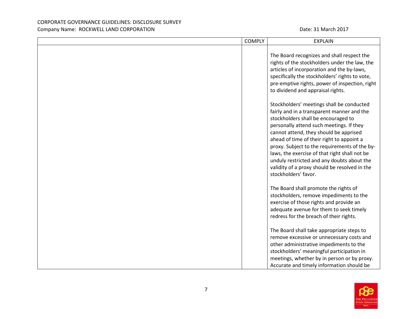| <b>COMPLY</b> | <b>EXPLAIN</b>                                                                                                                                                                                                                                                                                                                                                                                                                                                                             |
|---------------|--------------------------------------------------------------------------------------------------------------------------------------------------------------------------------------------------------------------------------------------------------------------------------------------------------------------------------------------------------------------------------------------------------------------------------------------------------------------------------------------|
|               | The Board recognizes and shall respect the<br>rights of the stockholders under the law, the<br>articles of incorporation and the by-laws,<br>specifically the stockholders' rights to vote,<br>pre-emptive rights, power of inspection, right<br>to dividend and appraisal rights.                                                                                                                                                                                                         |
|               | Stockholders' meetings shall be conducted<br>fairly and in a transparent manner and the<br>stockholders shall be encouraged to<br>personally attend such meetings. If they<br>cannot attend, they should be apprised<br>ahead of time of their right to appoint a<br>proxy. Subject to the requirements of the by-<br>laws, the exercise of that right shall not be<br>unduly restricted and any doubts about the<br>validity of a proxy should be resolved in the<br>stockholders' favor. |
|               | The Board shall promote the rights of<br>stockholders, remove impediments to the<br>exercise of those rights and provide an<br>adequate avenue for them to seek timely<br>redress for the breach of their rights.                                                                                                                                                                                                                                                                          |
|               | The Board shall take appropriate steps to<br>remove excessive or unnecessary costs and<br>other administrative impediments to the<br>stockholders' meaningful participation in<br>meetings, whether by in person or by proxy.<br>Accurate and timely information should be                                                                                                                                                                                                                 |

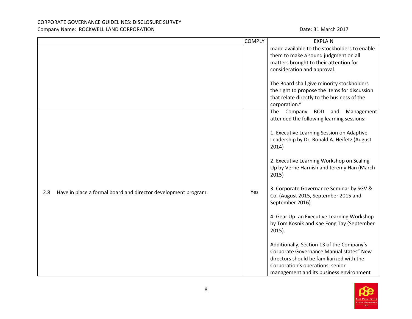|                                                                       | <b>COMPLY</b> | <b>EXPLAIN</b>                                                                                                                                                                                                                                                                                                                                                                                                                                                                                                                                                                                                                                                                                                               |
|-----------------------------------------------------------------------|---------------|------------------------------------------------------------------------------------------------------------------------------------------------------------------------------------------------------------------------------------------------------------------------------------------------------------------------------------------------------------------------------------------------------------------------------------------------------------------------------------------------------------------------------------------------------------------------------------------------------------------------------------------------------------------------------------------------------------------------------|
|                                                                       |               | made available to the stockholders to enable<br>them to make a sound judgment on all<br>matters brought to their attention for<br>consideration and approval.<br>The Board shall give minority stockholders<br>the right to propose the items for discussion                                                                                                                                                                                                                                                                                                                                                                                                                                                                 |
|                                                                       |               | that relate directly to the business of the<br>corporation."                                                                                                                                                                                                                                                                                                                                                                                                                                                                                                                                                                                                                                                                 |
| Have in place a formal board and director development program.<br>2.8 | Yes           | The Company<br>BOD and<br>Management<br>attended the following learning sessions:<br>1. Executive Learning Session on Adaptive<br>Leadership by Dr. Ronald A. Heifetz (August<br>2014)<br>2. Executive Learning Workshop on Scaling<br>Up by Verne Harnish and Jeremy Han (March<br>2015)<br>3. Corporate Governance Seminar by SGV &<br>Co. (August 2015, September 2015 and<br>September 2016)<br>4. Gear Up: an Executive Learning Workshop<br>by Tom Kosnik and Kae Fong Tay (September<br>$2015$ ).<br>Additionally, Section 13 of the Company's<br>Corporate Governance Manual states" New<br>directors should be familiarized with the<br>Corporation's operations, senior<br>management and its business environment |

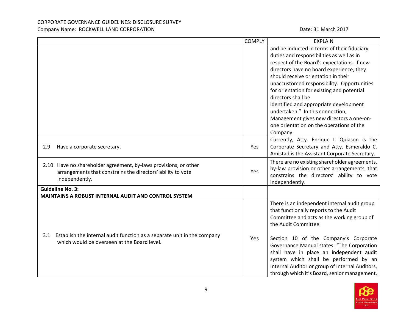|     |                                                                                                                                                   | <b>COMPLY</b> | <b>EXPLAIN</b>                                                                                                                                                                                                                                                                                                                                                                                                                                                                                                                 |
|-----|---------------------------------------------------------------------------------------------------------------------------------------------------|---------------|--------------------------------------------------------------------------------------------------------------------------------------------------------------------------------------------------------------------------------------------------------------------------------------------------------------------------------------------------------------------------------------------------------------------------------------------------------------------------------------------------------------------------------|
|     |                                                                                                                                                   |               | and be inducted in terms of their fiduciary<br>duties and responsibilities as well as in<br>respect of the Board's expectations. If new<br>directors have no board experience, they<br>should receive orientation in their<br>unaccustomed responsibility. Opportunities<br>for orientation for existing and potential<br>directors shall be<br>identified and appropriate development<br>undertaken." In this connection,<br>Management gives new directors a one-on-<br>one orientation on the operations of the<br>Company. |
| 2.9 | Have a corporate secretary.                                                                                                                       | Yes           | Currently, Atty. Enrique I. Quiason is the<br>Corporate Secretary and Atty. Esmeraldo C.<br>Amistad is the Assistant Corporate Secretary.                                                                                                                                                                                                                                                                                                                                                                                      |
|     | 2.10 Have no shareholder agreement, by-laws provisions, or other<br>arrangements that constrains the directors' ability to vote<br>independently. | Yes           | There are no existing shareholder agreements,<br>by-law provision or other arrangements, that<br>constrains the directors' ability to vote<br>independently.                                                                                                                                                                                                                                                                                                                                                                   |
|     | <b>Guideline No. 3:</b><br>MAINTAINS A ROBUST INTERNAL AUDIT AND CONTROL SYSTEM                                                                   |               |                                                                                                                                                                                                                                                                                                                                                                                                                                                                                                                                |
|     | 3.1 Establish the internal audit function as a separate unit in the company<br>which would be overseen at the Board level.                        | Yes           | There is an independent internal audit group<br>that functionally reports to the Audit<br>Committee and acts as the working group of<br>the Audit Committee.<br>Section 10 of the Company's Corporate<br>Governance Manual states: "The Corporation<br>shall have in place an independent audit<br>system which shall be performed by an<br>Internal Auditor or group of Internal Auditors,<br>through which it's Board, senior management,                                                                                    |

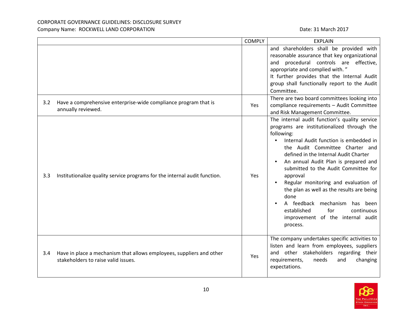# CORPORATE GOVERNANCE GUIDELINES: DISCLOSURE SURVEY

### Company Name: ROCKWELL LAND CORPORATION **Date: 31 March 2017** Date: 31 March 2017

|     |                                                                                                             | <b>COMPLY</b> | <b>EXPLAIN</b>                                                                                                                                                                                                                                                                                                                                                                                                                                                                                                                                       |
|-----|-------------------------------------------------------------------------------------------------------------|---------------|------------------------------------------------------------------------------------------------------------------------------------------------------------------------------------------------------------------------------------------------------------------------------------------------------------------------------------------------------------------------------------------------------------------------------------------------------------------------------------------------------------------------------------------------------|
|     |                                                                                                             |               | and shareholders shall be provided with<br>reasonable assurance that key organizational<br>and procedural controls are effective,<br>appropriate and complied with."<br>It further provides that the Internal Audit<br>group shall functionally report to the Audit<br>Committee.                                                                                                                                                                                                                                                                    |
| 3.2 | Have a comprehensive enterprise-wide compliance program that is<br>annually reviewed.                       | Yes           | There are two board committees looking into<br>compliance requirements - Audit Committee<br>and Risk Management Committee.                                                                                                                                                                                                                                                                                                                                                                                                                           |
| 3.3 | Institutionalize quality service programs for the internal audit function.                                  | Yes           | The internal audit function's quality service<br>programs are institutionalized through the<br>following:<br>Internal Audit function is embedded in<br>the Audit Committee Charter and<br>defined in the Internal Audit Charter<br>An annual Audit Plan is prepared and<br>submitted to the Audit Committee for<br>approval<br>Regular monitoring and evaluation of<br>the plan as well as the results are being<br>done<br>A feedback<br>mechanism<br>has been<br>established<br>for<br>continuous<br>improvement of the internal audit<br>process. |
| 3.4 | Have in place a mechanism that allows employees, suppliers and other<br>stakeholders to raise valid issues. | Yes           | The company undertakes specific activities to<br>listen and learn from employees, suppliers<br>and other stakeholders<br>regarding their<br>requirements,<br>needs<br>and<br>changing<br>expectations.                                                                                                                                                                                                                                                                                                                                               |

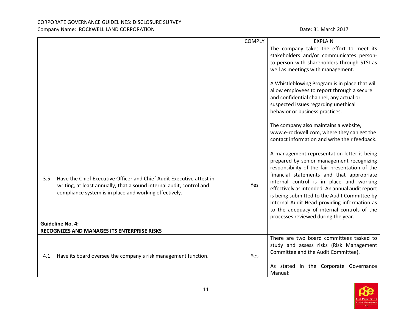|                         |                                                                                                                                                                                                        | <b>COMPLY</b> | <b>EXPLAIN</b>                                                                                                                                                                                                                                                                                                                                                                                                                                                               |
|-------------------------|--------------------------------------------------------------------------------------------------------------------------------------------------------------------------------------------------------|---------------|------------------------------------------------------------------------------------------------------------------------------------------------------------------------------------------------------------------------------------------------------------------------------------------------------------------------------------------------------------------------------------------------------------------------------------------------------------------------------|
|                         |                                                                                                                                                                                                        |               | The company takes the effort to meet its<br>stakeholders and/or communicates person-<br>to-person with shareholders through STSI as<br>well as meetings with management.                                                                                                                                                                                                                                                                                                     |
|                         |                                                                                                                                                                                                        |               | A Whistleblowing Program is in place that will<br>allow employees to report through a secure<br>and confidential channel, any actual or<br>suspected issues regarding unethical<br>behavior or business practices.                                                                                                                                                                                                                                                           |
|                         |                                                                                                                                                                                                        |               | The company also maintains a website,<br>www.e-rockwell.com, where they can get the<br>contact information and write their feedback.                                                                                                                                                                                                                                                                                                                                         |
| 3.5                     | Have the Chief Executive Officer and Chief Audit Executive attest in<br>writing, at least annually, that a sound internal audit, control and<br>compliance system is in place and working effectively. | Yes           | A management representation letter is being<br>prepared by senior management recognizing<br>responsibility of the fair presentation of the<br>financial statements and that appropriate<br>internal control is in place and working<br>effectively as intended. An annual audit report<br>is being submitted to the Audit Committee by<br>Internal Audit Head providing information as<br>to the adequacy of internal controls of the<br>processes reviewed during the year. |
| <b>Guideline No. 4:</b> |                                                                                                                                                                                                        |               |                                                                                                                                                                                                                                                                                                                                                                                                                                                                              |
|                         | RECOGNIZES AND MANAGES ITS ENTERPRISE RISKS                                                                                                                                                            |               |                                                                                                                                                                                                                                                                                                                                                                                                                                                                              |
| 4.1                     | Have its board oversee the company's risk management function.                                                                                                                                         | Yes           | There are two board committees tasked to<br>study and assess risks (Risk Management<br>Committee and the Audit Committee).                                                                                                                                                                                                                                                                                                                                                   |
|                         |                                                                                                                                                                                                        |               | As stated in the Corporate Governance<br>Manual:                                                                                                                                                                                                                                                                                                                                                                                                                             |

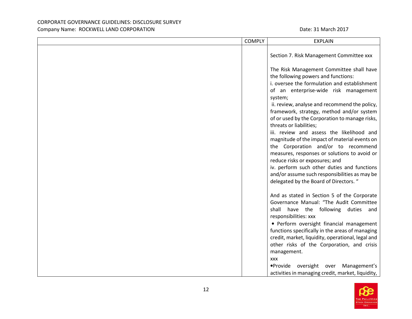| <b>COMPLY</b> | <b>EXPLAIN</b>                                                                                                                                                                                                                                                                                                                                                                                                                                                                                                                                                                        |
|---------------|---------------------------------------------------------------------------------------------------------------------------------------------------------------------------------------------------------------------------------------------------------------------------------------------------------------------------------------------------------------------------------------------------------------------------------------------------------------------------------------------------------------------------------------------------------------------------------------|
|               | Section 7. Risk Management Committee xxx                                                                                                                                                                                                                                                                                                                                                                                                                                                                                                                                              |
|               | The Risk Management Committee shall have<br>the following powers and functions:<br>i. oversee the formulation and establishment<br>of an enterprise-wide risk management<br>system;<br>ii. review, analyse and recommend the policy,<br>framework, strategy, method and/or system<br>of or used by the Corporation to manage risks,<br>threats or liabilities;<br>iii. review and assess the likelihood and<br>magnitude of the impact of material events on<br>the Corporation and/or to recommend<br>measures, responses or solutions to avoid or<br>reduce risks or exposures; and |
|               | iv. perform such other duties and functions<br>and/or assume such responsibilities as may be<br>delegated by the Board of Directors. "                                                                                                                                                                                                                                                                                                                                                                                                                                                |
|               | And as stated in Section 5 of the Corporate<br>Governance Manual: "The Audit Committee<br>shall have the following duties and<br>responsibilities: xxx<br>· Perform oversight financial management<br>functions specifically in the areas of managing<br>credit, market, liquidity, operational, legal and<br>other risks of the Corporation, and crisis<br>management.<br><b>XXX</b>                                                                                                                                                                                                 |
|               | .Provide oversight over Management's<br>activities in managing credit, market, liquidity,                                                                                                                                                                                                                                                                                                                                                                                                                                                                                             |

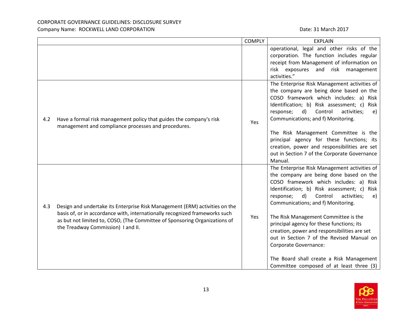|     | operational, legal and other risks of the<br>corporation. The function includes regular<br>receipt from Management of information on<br>risk exposures<br>and risk management<br>activities."                                                                                                                                                                                                                                                                                                                                                                                                      |
|-----|----------------------------------------------------------------------------------------------------------------------------------------------------------------------------------------------------------------------------------------------------------------------------------------------------------------------------------------------------------------------------------------------------------------------------------------------------------------------------------------------------------------------------------------------------------------------------------------------------|
| Yes | The Enterprise Risk Management activities of<br>the company are being done based on the<br>COSO framework which includes: a) Risk<br>Identification; b) Risk assessment; c)<br>Risk<br>d)<br>Control<br>response;<br>activities;<br>e)<br>Communications; and f) Monitoring.<br>The Risk Management Committee is the<br>principal agency for these functions; its<br>creation, power and responsibilities are set<br>out in Section 7 of the Corporate Governance<br>Manual.                                                                                                                       |
| Yes | The Enterprise Risk Management activities of<br>the company are being done based on the<br>COSO framework which includes: a) Risk<br>Identification; b) Risk assessment; c)<br>Risk<br>$\mathsf{d}$<br>Control<br>activities;<br>response;<br>e)<br>Communications; and f) Monitoring.<br>The Risk Management Committee is the<br>principal agency for these functions; its<br>creation, power and responsibilities are set<br>out in Section 7 of the Revised Manual on<br><b>Corporate Governance:</b><br>The Board shall create a Risk Management<br>Committee composed of at least three $(3)$ |
|     | Have a formal risk management policy that guides the company's risk<br>management and compliance processes and procedures.<br>Design and undertake its Enterprise Risk Management (ERM) activities on the<br>basis of, or in accordance with, internationally recognized frameworks such<br>as but not limited to, COSO, (The Committee of Sponsoring Organizations of                                                                                                                                                                                                                             |

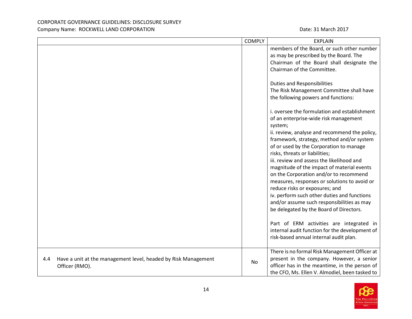|                                                                                         | <b>COMPLY</b> | <b>EXPLAIN</b>                                                                                                                                                                                                                                                                                                                                                                                                                                                                                                                                                                             |
|-----------------------------------------------------------------------------------------|---------------|--------------------------------------------------------------------------------------------------------------------------------------------------------------------------------------------------------------------------------------------------------------------------------------------------------------------------------------------------------------------------------------------------------------------------------------------------------------------------------------------------------------------------------------------------------------------------------------------|
|                                                                                         |               | members of the Board, or such other number<br>as may be prescribed by the Board. The<br>Chairman of the Board shall designate the<br>Chairman of the Committee.<br><b>Duties and Responsibilities</b><br>The Risk Management Committee shall have<br>the following powers and functions:<br>i. oversee the formulation and establishment                                                                                                                                                                                                                                                   |
|                                                                                         |               | of an enterprise-wide risk management<br>system;<br>ii. review, analyse and recommend the policy,<br>framework, strategy, method and/or system<br>of or used by the Corporation to manage<br>risks, threats or liabilities;<br>iii. review and assess the likelihood and<br>magnitude of the impact of material events<br>on the Corporation and/or to recommend<br>measures, responses or solutions to avoid or<br>reduce risks or exposures; and<br>iv. perform such other duties and functions<br>and/or assume such responsibilities as may<br>be delegated by the Board of Directors. |
|                                                                                         |               | Part of ERM activities are integrated in<br>internal audit function for the development of<br>risk-based annual internal audit plan.                                                                                                                                                                                                                                                                                                                                                                                                                                                       |
| Have a unit at the management level, headed by Risk Management<br>4.4<br>Officer (RMO). | No            | There is no formal Risk Management Officer at<br>present in the company. However, a senior<br>officer has in the meantime, in the person of<br>the CFO, Ms. Ellen V. Almodiel, been tasked to                                                                                                                                                                                                                                                                                                                                                                                              |

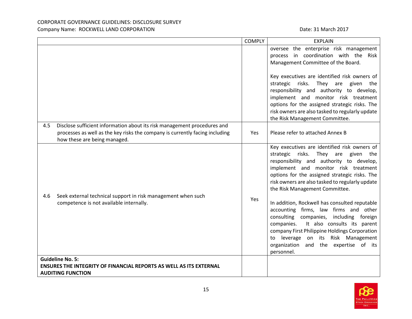|                                                                                                                                                                                                 | <b>COMPLY</b> | <b>EXPLAIN</b>                                                                                                                                                                                                                                                                                                                                                                                                                                                                                                                                                                                                                                                        |
|-------------------------------------------------------------------------------------------------------------------------------------------------------------------------------------------------|---------------|-----------------------------------------------------------------------------------------------------------------------------------------------------------------------------------------------------------------------------------------------------------------------------------------------------------------------------------------------------------------------------------------------------------------------------------------------------------------------------------------------------------------------------------------------------------------------------------------------------------------------------------------------------------------------|
|                                                                                                                                                                                                 |               | oversee the enterprise risk management<br>process in coordination with the<br>Risk<br>Management Committee of the Board.<br>Key executives are identified risk owners of<br>strategic<br>risks.<br>They<br>given<br>are<br>the<br>responsibility and authority to develop,<br>implement and monitor risk treatment<br>options for the assigned strategic risks. The<br>risk owners are also tasked to regularly update<br>the Risk Management Committee.                                                                                                                                                                                                              |
| Disclose sufficient information about its risk management procedures and<br>4.5<br>processes as well as the key risks the company is currently facing including<br>how these are being managed. | Yes           | Please refer to attached Annex B                                                                                                                                                                                                                                                                                                                                                                                                                                                                                                                                                                                                                                      |
| Seek external technical support in risk management when such<br>4.6<br>competence is not available internally.                                                                                  | Yes           | Key executives are identified risk owners of<br>strategic<br>risks.<br>They<br>given<br>are<br>the<br>responsibility and authority to develop,<br>implement and monitor risk treatment<br>options for the assigned strategic risks. The<br>risk owners are also tasked to regularly update<br>the Risk Management Committee.<br>In addition, Rockwell has consulted reputable<br>accounting firms, law firms and other<br>companies,<br>including foreign<br>consulting<br>It also consults its parent<br>companies.<br>company First Philippine Holdings Corporation<br>to leverage on its Risk Management<br>organization<br>and the expertise of its<br>personnel. |
| <b>Guideline No. 5:</b><br><b>ENSURES THE INTEGRITY OF FINANCIAL REPORTS AS WELL AS ITS EXTERNAL</b><br><b>AUDITING FUNCTION</b>                                                                |               |                                                                                                                                                                                                                                                                                                                                                                                                                                                                                                                                                                                                                                                                       |

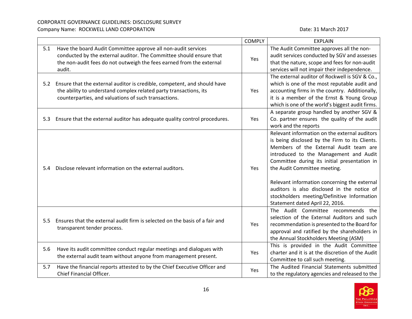|     |                                                                                                                                                                                                                        | <b>COMPLY</b> | <b>EXPLAIN</b>                                                                                                                                                                                                                                                                                                                                                                                                                                       |
|-----|------------------------------------------------------------------------------------------------------------------------------------------------------------------------------------------------------------------------|---------------|------------------------------------------------------------------------------------------------------------------------------------------------------------------------------------------------------------------------------------------------------------------------------------------------------------------------------------------------------------------------------------------------------------------------------------------------------|
| 5.1 | Have the board Audit Committee approve all non-audit services<br>conducted by the external auditor. The Committee should ensure that<br>the non-audit fees do not outweigh the fees earned from the external<br>audit. | Yes           | The Audit Committee approves all the non-<br>audit services conducted by SGV and assesses<br>that the nature, scope and fees for non-audit<br>services will not impair their independence.                                                                                                                                                                                                                                                           |
| 5.2 | Ensure that the external auditor is credible, competent, and should have<br>the ability to understand complex related party transactions, its<br>counterparties, and valuations of such transactions.                  | Yes           | The external auditor of Rockwell is SGV & Co.,<br>which is one of the most reputable audit and<br>accounting firms in the country. Additionally,<br>it is a member of the Ernst & Young Group<br>which is one of the world's biggest audit firms.                                                                                                                                                                                                    |
|     | 5.3 Ensure that the external auditor has adequate quality control procedures.                                                                                                                                          | Yes           | A separate group handled by another SGV &<br>Co. partner ensures the quality of the audit<br>work and the reports                                                                                                                                                                                                                                                                                                                                    |
| 5.4 | Disclose relevant information on the external auditors.                                                                                                                                                                | Yes           | Relevant information on the external auditors<br>is being disclosed by the Firm to its Clients.<br>Members of the External Audit team are<br>introduced to the Management and Audit<br>Committee during its initial presentation in<br>the Audit Committee meeting.<br>Relevant information concerning the external<br>auditors is also disclosed in the notice of<br>stockholders meeting/Definitive Information<br>Statement dated April 22, 2016. |
| 5.5 | Ensures that the external audit firm is selected on the basis of a fair and<br>transparent tender process.                                                                                                             | Yes           | The Audit Committee recommends the<br>selection of the External Auditors and such<br>recommendation is presented to the Board for<br>approval and ratified by the shareholders in<br>the Annual Stockholders Meeting (ASM)                                                                                                                                                                                                                           |
| 5.6 | Have its audit committee conduct regular meetings and dialogues with<br>the external audit team without anyone from management present.                                                                                | Yes           | This is provided in the Audit Committee<br>charter and it is at the discretion of the Audit<br>Committee to call such meeting.                                                                                                                                                                                                                                                                                                                       |
| 5.7 | Have the financial reports attested to by the Chief Executive Officer and<br>Chief Financial Officer.                                                                                                                  | Yes           | The Audited Financial Statements submitted<br>to the regulatory agencies and released to the                                                                                                                                                                                                                                                                                                                                                         |

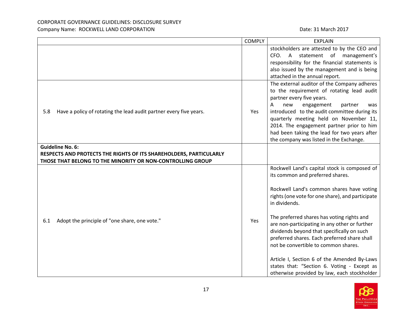|                                                                                                                                                             | <b>COMPLY</b> | <b>EXPLAIN</b>                                                                                                                                                                                                                                                                                                                                                                                                                                                                                                                                                                       |
|-------------------------------------------------------------------------------------------------------------------------------------------------------------|---------------|--------------------------------------------------------------------------------------------------------------------------------------------------------------------------------------------------------------------------------------------------------------------------------------------------------------------------------------------------------------------------------------------------------------------------------------------------------------------------------------------------------------------------------------------------------------------------------------|
|                                                                                                                                                             |               | stockholders are attested to by the CEO and<br>CFO. A statement of management's<br>responsibility for the financial statements is<br>also issued by the management and is being<br>attached in the annual report.                                                                                                                                                                                                                                                                                                                                                                    |
| Have a policy of rotating the lead audit partner every five years.<br>5.8                                                                                   | Yes           | The external auditor of the Company adheres<br>to the requirement of rotating lead audit<br>partner every five years.<br>A<br>engagement<br>new<br>partner<br>was<br>introduced to the audit committee during its<br>quarterly meeting held on November 11,<br>2014. The engagement partner prior to him<br>had been taking the lead for two years after<br>the company was listed in the Exchange.                                                                                                                                                                                  |
| <b>Guideline No. 6:</b><br>RESPECTS AND PROTECTS THE RIGHTS OF ITS SHAREHOLDERS, PARTICULARLY<br>THOSE THAT BELONG TO THE MINORITY OR NON-CONTROLLING GROUP |               |                                                                                                                                                                                                                                                                                                                                                                                                                                                                                                                                                                                      |
| Adopt the principle of "one share, one vote."<br>6.1                                                                                                        | Yes           | Rockwell Land's capital stock is composed of<br>its common and preferred shares.<br>Rockwell Land's common shares have voting<br>rights (one vote for one share), and participate<br>in dividends.<br>The preferred shares has voting rights and<br>are non-participating in any other or further<br>dividends beyond that specifically on such<br>preferred shares. Each preferred share shall<br>not be convertible to common shares.<br>Article I, Section 6 of the Amended By-Laws<br>states that: "Section 6. Voting - Except as<br>otherwise provided by law, each stockholder |

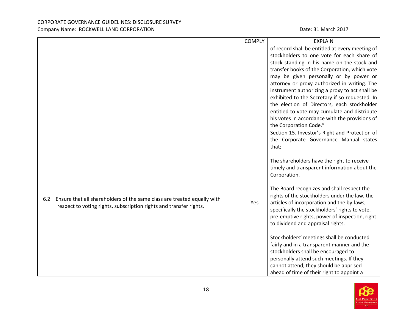|                                                                                                                                                      | <b>COMPLY</b> | <b>EXPLAIN</b>                                                                                                                                                                                                                                                                                                                                                                                                                                                                                                                                                                                                                                                                                                                                                             |
|------------------------------------------------------------------------------------------------------------------------------------------------------|---------------|----------------------------------------------------------------------------------------------------------------------------------------------------------------------------------------------------------------------------------------------------------------------------------------------------------------------------------------------------------------------------------------------------------------------------------------------------------------------------------------------------------------------------------------------------------------------------------------------------------------------------------------------------------------------------------------------------------------------------------------------------------------------------|
|                                                                                                                                                      |               | of record shall be entitled at every meeting of<br>stockholders to one vote for each share of<br>stock standing in his name on the stock and<br>transfer books of the Corporation, which vote<br>may be given personally or by power or<br>attorney or proxy authorized in writing. The<br>instrument authorizing a proxy to act shall be<br>exhibited to the Secretary if so requested. In<br>the election of Directors, each stockholder<br>entitled to vote may cumulate and distribute<br>his votes in accordance with the provisions of<br>the Corporation Code."                                                                                                                                                                                                     |
| Ensure that all shareholders of the same class are treated equally with<br>6.2<br>respect to voting rights, subscription rights and transfer rights. | Yes           | Section 15. Investor's Right and Protection of<br>the Corporate Governance Manual states<br>that;<br>The shareholders have the right to receive<br>timely and transparent information about the<br>Corporation.<br>The Board recognizes and shall respect the<br>rights of the stockholders under the law, the<br>articles of incorporation and the by-laws,<br>specifically the stockholders' rights to vote,<br>pre-emptive rights, power of inspection, right<br>to dividend and appraisal rights.<br>Stockholders' meetings shall be conducted<br>fairly and in a transparent manner and the<br>stockholders shall be encouraged to<br>personally attend such meetings. If they<br>cannot attend, they should be apprised<br>ahead of time of their right to appoint a |

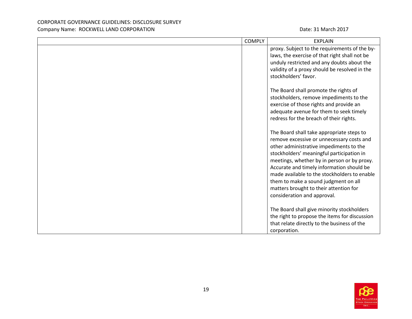| <b>COMPLY</b> | <b>EXPLAIN</b>                                                                                                                                                                                                                                                                                                                                                                                                                              |
|---------------|---------------------------------------------------------------------------------------------------------------------------------------------------------------------------------------------------------------------------------------------------------------------------------------------------------------------------------------------------------------------------------------------------------------------------------------------|
|               | proxy. Subject to the requirements of the by-<br>laws, the exercise of that right shall not be<br>unduly restricted and any doubts about the<br>validity of a proxy should be resolved in the<br>stockholders' favor.                                                                                                                                                                                                                       |
|               | The Board shall promote the rights of<br>stockholders, remove impediments to the<br>exercise of those rights and provide an<br>adequate avenue for them to seek timely<br>redress for the breach of their rights.                                                                                                                                                                                                                           |
|               | The Board shall take appropriate steps to<br>remove excessive or unnecessary costs and<br>other administrative impediments to the<br>stockholders' meaningful participation in<br>meetings, whether by in person or by proxy.<br>Accurate and timely information should be<br>made available to the stockholders to enable<br>them to make a sound judgment on all<br>matters brought to their attention for<br>consideration and approval. |
|               | The Board shall give minority stockholders<br>the right to propose the items for discussion<br>that relate directly to the business of the<br>corporation.                                                                                                                                                                                                                                                                                  |

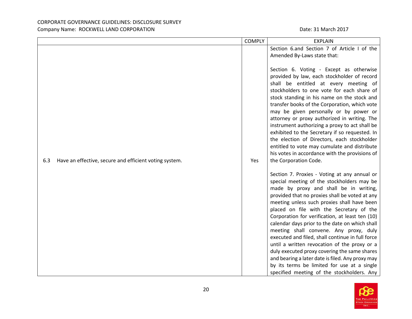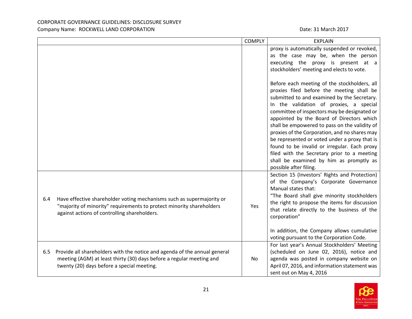|     |                                                                                                                                                                                                 | <b>COMPLY</b> | <b>EXPLAIN</b>                                                                                                                                                                                                                                                                                                                                                                                                                                                                                                                                                                                                                                                                                                                                                                     |
|-----|-------------------------------------------------------------------------------------------------------------------------------------------------------------------------------------------------|---------------|------------------------------------------------------------------------------------------------------------------------------------------------------------------------------------------------------------------------------------------------------------------------------------------------------------------------------------------------------------------------------------------------------------------------------------------------------------------------------------------------------------------------------------------------------------------------------------------------------------------------------------------------------------------------------------------------------------------------------------------------------------------------------------|
|     |                                                                                                                                                                                                 |               | proxy is automatically suspended or revoked,<br>as the case may be, when the person<br>executing the proxy is present at a<br>stockholders' meeting and elects to vote.<br>Before each meeting of the stockholders, all<br>proxies filed before the meeting shall be<br>submitted to and examined by the Secretary.<br>In the validation of proxies, a special<br>committee of inspectors may be designated or<br>appointed by the Board of Directors which<br>shall be empowered to pass on the validity of<br>proxies of the Corporation, and no shares may<br>be represented or voted under a proxy that is<br>found to be invalid or irregular. Each proxy<br>filed with the Secretary prior to a meeting<br>shall be examined by him as promptly as<br>possible after filing. |
| 6.4 | Have effective shareholder voting mechanisms such as supermajority or<br>"majority of minority" requirements to protect minority shareholders<br>against actions of controlling shareholders.   | Yes           | Section 15 (Investors' Rights and Protection)<br>of the Company's Corporate Governance<br>Manual states that:<br>"The Board shall give minority stockholders<br>the right to propose the items for discussion<br>that relate directly to the business of the<br>corporation"<br>In addition, the Company allows cumulative<br>voting pursuant to the Corporation Code.                                                                                                                                                                                                                                                                                                                                                                                                             |
| 6.5 | Provide all shareholders with the notice and agenda of the annual general<br>meeting (AGM) at least thirty (30) days before a regular meeting and<br>twenty (20) days before a special meeting. | No.           | For last year's Annual Stockholders' Meeting<br>(scheduled on June 02, 2016), notice and<br>agenda was posted in company website on<br>April 07, 2016, and information statement was<br>sent out on May 4, 2016                                                                                                                                                                                                                                                                                                                                                                                                                                                                                                                                                                    |

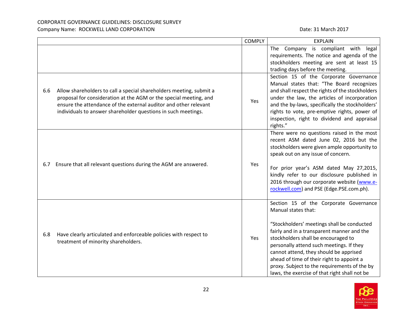|     |                                                                                                                                                                                                                                                                               | <b>COMPLY</b> | <b>EXPLAIN</b>                                                                                                                                                                                                                                                                                                                                                                                                                       |
|-----|-------------------------------------------------------------------------------------------------------------------------------------------------------------------------------------------------------------------------------------------------------------------------------|---------------|--------------------------------------------------------------------------------------------------------------------------------------------------------------------------------------------------------------------------------------------------------------------------------------------------------------------------------------------------------------------------------------------------------------------------------------|
|     |                                                                                                                                                                                                                                                                               |               | The Company is compliant with legal<br>requirements. The notice and agenda of the<br>stockholders meeting are sent at least 15<br>trading days before the meeting.                                                                                                                                                                                                                                                                   |
| 6.6 | Allow shareholders to call a special shareholders meeting, submit a<br>proposal for consideration at the AGM or the special meeting, and<br>ensure the attendance of the external auditor and other relevant<br>individuals to answer shareholder questions in such meetings. | Yes           | Section 15 of the Corporate Governance<br>Manual states that: "The Board recognizes<br>and shall respect the rights of the stockholders<br>under the law, the articles of incorporation<br>and the by-laws, specifically the stockholders'<br>rights to vote, pre-emptive rights, power of<br>inspection, right to dividend and appraisal<br>rights."                                                                                |
| 6.7 | Ensure that all relevant questions during the AGM are answered.                                                                                                                                                                                                               | Yes           | There were no questions raised in the most<br>recent ASM dated June 02, 2016 but the<br>stockholders were given ample opportunity to<br>speak out on any issue of concern.<br>For prior year's ASM dated May 27,2015,<br>kindly refer to our disclosure published in<br>2016 through our corporate website (www.e-<br>rockwell.com) and PSE (Edge.PSE.com.ph).                                                                       |
| 6.8 | Have clearly articulated and enforceable policies with respect to<br>treatment of minority shareholders.                                                                                                                                                                      | Yes           | Section 15 of the Corporate Governance<br>Manual states that:<br>"Stockholders' meetings shall be conducted<br>fairly and in a transparent manner and the<br>stockholders shall be encouraged to<br>personally attend such meetings. If they<br>cannot attend, they should be apprised<br>ahead of time of their right to appoint a<br>proxy. Subject to the requirements of the by<br>laws, the exercise of that right shall not be |

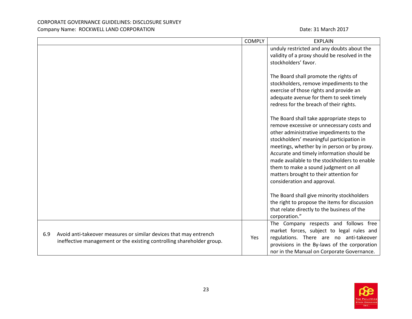|                                                                                                                                                   | <b>COMPLY</b> | <b>EXPLAIN</b>                                                                                                                                                                                                                                                                                                                                                                                                                              |
|---------------------------------------------------------------------------------------------------------------------------------------------------|---------------|---------------------------------------------------------------------------------------------------------------------------------------------------------------------------------------------------------------------------------------------------------------------------------------------------------------------------------------------------------------------------------------------------------------------------------------------|
|                                                                                                                                                   |               | unduly restricted and any doubts about the<br>validity of a proxy should be resolved in the<br>stockholders' favor.                                                                                                                                                                                                                                                                                                                         |
|                                                                                                                                                   |               | The Board shall promote the rights of<br>stockholders, remove impediments to the<br>exercise of those rights and provide an<br>adequate avenue for them to seek timely<br>redress for the breach of their rights.                                                                                                                                                                                                                           |
|                                                                                                                                                   |               | The Board shall take appropriate steps to<br>remove excessive or unnecessary costs and<br>other administrative impediments to the<br>stockholders' meaningful participation in<br>meetings, whether by in person or by proxy.<br>Accurate and timely information should be<br>made available to the stockholders to enable<br>them to make a sound judgment on all<br>matters brought to their attention for<br>consideration and approval. |
|                                                                                                                                                   |               | The Board shall give minority stockholders<br>the right to propose the items for discussion<br>that relate directly to the business of the<br>corporation."                                                                                                                                                                                                                                                                                 |
| Avoid anti-takeover measures or similar devices that may entrench<br>6.9<br>ineffective management or the existing controlling shareholder group. | Yes           | The Company respects and follows free<br>market forces, subject to legal rules and<br>regulations. There are no anti-takeover<br>provisions in the By-laws of the corporation<br>nor in the Manual on Corporate Governance.                                                                                                                                                                                                                 |

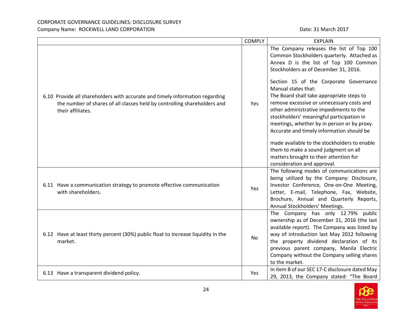|                                                                                                                                                                               | <b>COMPLY</b> | <b>EXPLAIN</b>                                                                                                                                                                                                                                                                                                                                                                                                                                                                                                                                                                                                                                                                           |
|-------------------------------------------------------------------------------------------------------------------------------------------------------------------------------|---------------|------------------------------------------------------------------------------------------------------------------------------------------------------------------------------------------------------------------------------------------------------------------------------------------------------------------------------------------------------------------------------------------------------------------------------------------------------------------------------------------------------------------------------------------------------------------------------------------------------------------------------------------------------------------------------------------|
| 6.10 Provide all shareholders with accurate and timely information regarding<br>the number of shares of all classes held by controlling shareholders and<br>their affiliates. | Yes           | The Company releases the list of Top 100<br>Common Stockholders quarterly. Attached as<br>Annex D is the list of Top 100 Common<br>Stockholders as of December 31, 2016.<br>Section 15 of the Corporate Governance<br>Manual states that:<br>The Board shall take appropriate steps to<br>remove excessive or unnecessary costs and<br>other administrative impediments to the<br>stockholders' meaningful participation in<br>meetings, whether by in person or by proxy.<br>Accurate and timely information should be<br>made available to the stockholders to enable<br>them to make a sound judgment on all<br>matters brought to their attention for<br>consideration and approval. |
| 6.11 Have a communication strategy to promote effective communication<br>with shareholders.                                                                                   | Yes           | The following modes of communications are<br>being utilized by the Company: Disclosure,<br>Investor Conference, One-on-One Meeting,<br>Letter, E-mail, Telephone, Fax, Website,<br>Brochure, Annual and Quarterly Reports,<br>Annual Stockholders' Meetings.                                                                                                                                                                                                                                                                                                                                                                                                                             |
| 6.12 Have at least thirty percent (30%) public float to increase liquidity in the<br>market.                                                                                  | <b>No</b>     | The Company has only 12.79% public<br>ownership as of December 31, 2016 (the last<br>available report). The Company was listed by<br>way of introduction last May 2012 following<br>the property dividend declaration of its<br>previous parent company, Manila Electric<br>Company without the Company selling shares<br>to the market.                                                                                                                                                                                                                                                                                                                                                 |
| 6.13 Have a transparent dividend policy.                                                                                                                                      | Yes           | In item B of our SEC 17-C disclosure dated May<br>29, 2013, the Company stated: "The Board                                                                                                                                                                                                                                                                                                                                                                                                                                                                                                                                                                                               |

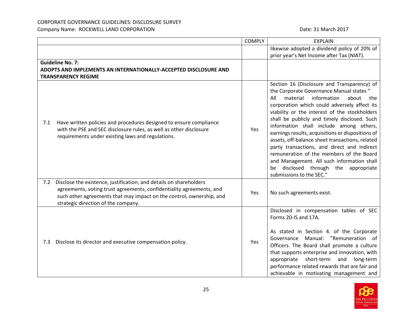|     |                                                                                                                                                                                                                                                           | <b>COMPLY</b> | <b>EXPLAIN</b>                                                                                                                                                                                                                                                                                                                                                                                                                                                                                                                                                                                                                                                |
|-----|-----------------------------------------------------------------------------------------------------------------------------------------------------------------------------------------------------------------------------------------------------------|---------------|---------------------------------------------------------------------------------------------------------------------------------------------------------------------------------------------------------------------------------------------------------------------------------------------------------------------------------------------------------------------------------------------------------------------------------------------------------------------------------------------------------------------------------------------------------------------------------------------------------------------------------------------------------------|
|     |                                                                                                                                                                                                                                                           |               | likewise adopted a dividend policy of 20% of                                                                                                                                                                                                                                                                                                                                                                                                                                                                                                                                                                                                                  |
|     |                                                                                                                                                                                                                                                           |               | prior year's Net Income after Tax (NIAT).                                                                                                                                                                                                                                                                                                                                                                                                                                                                                                                                                                                                                     |
|     | <b>Guideline No. 7:</b>                                                                                                                                                                                                                                   |               |                                                                                                                                                                                                                                                                                                                                                                                                                                                                                                                                                                                                                                                               |
|     | ADOPTS AND IMPLEMENTS AN INTERNATIONALLY-ACCEPTED DISCLOSURE AND                                                                                                                                                                                          |               |                                                                                                                                                                                                                                                                                                                                                                                                                                                                                                                                                                                                                                                               |
|     | <b>TRANSPARENCY REGIME</b>                                                                                                                                                                                                                                |               |                                                                                                                                                                                                                                                                                                                                                                                                                                                                                                                                                                                                                                                               |
| 7.1 | Have written policies and procedures designed to ensure compliance<br>with the PSE and SEC disclosure rules, as well as other disclosure<br>requirements under existing laws and regulations.                                                             | Yes           | Section 16 (Disclosure and Transparency) of<br>the Corporate Governance Manual states "<br>material<br>All<br>information<br>about<br>the<br>corporation which could adversely affect its<br>viability or the interest of the stockholders<br>shall be publicly and timely disclosed. Such<br>information shall include among others,<br>earnings results, acquisitions or dispositions of<br>assets, off-balance sheet transactions, related<br>party transactions, and direct and indirect<br>remuneration of the members of the Board<br>and Management. All such information shall<br>disclosed through the appropriate<br>be<br>submissions to the SEC." |
| 7.2 | Disclose the existence, justification, and details on shareholders<br>agreements, voting trust agreements, confidentiality agreements, and<br>such other agreements that may impact on the control, ownership, and<br>strategic direction of the company. | Yes           | No such agreements exist.                                                                                                                                                                                                                                                                                                                                                                                                                                                                                                                                                                                                                                     |
| 7.3 | Disclose its director and executive compensation policy.                                                                                                                                                                                                  | Yes           | Disclosed in compensation tables of SEC<br>Forms 20-IS and 17A.<br>As stated in Section 4. of the Corporate<br>Governance Manual: "Remuneration of<br>Officers. The Board shall promote a culture<br>that supports enterprise and innovation, with<br>short-term<br>long-term<br>appropriate<br>and<br>performance related rewards that are fair and<br>achievable in motivating management and                                                                                                                                                                                                                                                               |

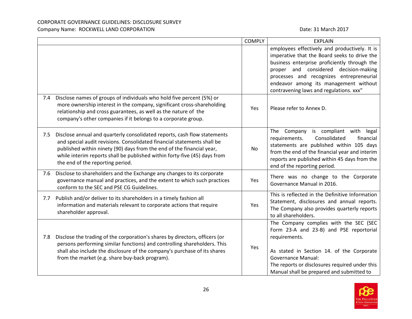|     |                                                                                                                                                                                                                                                                                                                                               | <b>COMPLY</b> | <b>EXPLAIN</b>                                                                                                                                                                                                                                                                                                         |
|-----|-----------------------------------------------------------------------------------------------------------------------------------------------------------------------------------------------------------------------------------------------------------------------------------------------------------------------------------------------|---------------|------------------------------------------------------------------------------------------------------------------------------------------------------------------------------------------------------------------------------------------------------------------------------------------------------------------------|
|     |                                                                                                                                                                                                                                                                                                                                               |               | employees effectively and productively. It is<br>imperative that the Board seeks to drive the<br>business enterprise proficiently through the<br>proper and considered decision-making<br>processes and recognizes entrepreneurial<br>endeavor among its management without<br>contravening laws and regulations. xxx" |
| 7.4 | Disclose names of groups of individuals who hold five percent (5%) or<br>more ownership interest in the company, significant cross-shareholding<br>relationship and cross guarantees, as well as the nature of the<br>company's other companies if it belongs to a corporate group.                                                           | Yes           | Please refer to Annex D.                                                                                                                                                                                                                                                                                               |
| 7.5 | Disclose annual and quarterly consolidated reports, cash flow statements<br>and special audit revisions. Consolidated financial statements shall be<br>published within ninety (90) days from the end of the financial year,<br>while interim reports shall be published within forty-five (45) days from<br>the end of the reporting period. | No            | The Company is compliant with legal<br>Consolidated<br>requirements.<br>financial<br>statements are published within 105 days<br>from the end of the financial year and interim<br>reports are published within 45 days from the<br>end of the reporting period.                                                       |
| 7.6 | Disclose to shareholders and the Exchange any changes to its corporate<br>governance manual and practices, and the extent to which such practices<br>conform to the SEC and PSE CG Guidelines.                                                                                                                                                | Yes           | There was no change to the Corporate<br>Governance Manual in 2016.                                                                                                                                                                                                                                                     |
| 7.7 | Publish and/or deliver to its shareholders in a timely fashion all<br>information and materials relevant to corporate actions that require<br>shareholder approval.                                                                                                                                                                           | Yes           | This is reflected in the Definitive Information<br>Statement, disclosures and annual reports.<br>The Company also provides quarterly reports<br>to all shareholders.                                                                                                                                                   |
| 7.8 | Disclose the trading of the corporation's shares by directors, officers (or<br>persons performing similar functions) and controlling shareholders. This<br>shall also include the disclosure of the company's purchase of its shares<br>from the market (e.g. share buy-back program).                                                        | Yes           | The Company complies with the SEC (SEC<br>Form 23-A and 23-B) and PSE reportorial<br>requirements.<br>As stated in Section 14. of the Corporate<br><b>Governance Manual:</b><br>The reports or disclosures required under this<br>Manual shall be prepared and submitted to                                            |

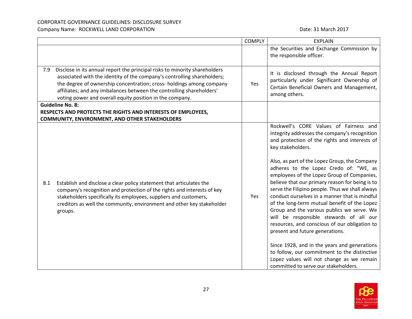|     |                                                                                                                                                                                                                                                                                                                                                                   | <b>COMPLY</b> | <b>EXPLAIN</b>                                                                                                                                                                                                                                                                                                                                                                                                                                                                                                                                                                                                                                                                             |
|-----|-------------------------------------------------------------------------------------------------------------------------------------------------------------------------------------------------------------------------------------------------------------------------------------------------------------------------------------------------------------------|---------------|--------------------------------------------------------------------------------------------------------------------------------------------------------------------------------------------------------------------------------------------------------------------------------------------------------------------------------------------------------------------------------------------------------------------------------------------------------------------------------------------------------------------------------------------------------------------------------------------------------------------------------------------------------------------------------------------|
|     |                                                                                                                                                                                                                                                                                                                                                                   |               | the Securities and Exchange Commission by<br>the responsible officer.                                                                                                                                                                                                                                                                                                                                                                                                                                                                                                                                                                                                                      |
| 7.9 | Disclose in its annual report the principal risks to minority shareholders<br>associated with the identity of the company's controlling shareholders;<br>the degree of ownership concentration; cross- holdings among company<br>affiliates; and any imbalances between the controlling shareholders'<br>voting power and overall equity position in the company. | Yes           | It is disclosed through the Annual Report<br>particularly under Significant Ownership of<br>Certain Beneficial Owners and Management,<br>among others.                                                                                                                                                                                                                                                                                                                                                                                                                                                                                                                                     |
|     | <b>Guideline No. 8:</b>                                                                                                                                                                                                                                                                                                                                           |               |                                                                                                                                                                                                                                                                                                                                                                                                                                                                                                                                                                                                                                                                                            |
|     | RESPECTS AND PROTECTS THE RIGHTS AND INTERESTS OF EMPLOYEES,                                                                                                                                                                                                                                                                                                      |               |                                                                                                                                                                                                                                                                                                                                                                                                                                                                                                                                                                                                                                                                                            |
|     | <b>COMMUNITY, ENVIRONMENT, AND OTHER STAKEHOLDERS</b>                                                                                                                                                                                                                                                                                                             |               |                                                                                                                                                                                                                                                                                                                                                                                                                                                                                                                                                                                                                                                                                            |
| 8.1 | Establish and disclose a clear policy statement that articulates the<br>company's recognition and protection of the rights and interests of key<br>stakeholders specifically its employees, suppliers and customers,<br>creditors as well the community, environment and other key stakeholder<br>groups.                                                         | Yes           | Rockwell's CORE Values of Fairness and<br>Integrity addresses the company's recognition<br>and protection of the rights and interests of<br>key stakeholders.<br>Also, as part of the Lopez Group, the Company<br>adheres to the Lopez Credo of: "WE, as<br>employees of the Lopez Group of Companies,<br>believe that our primary reason for being is to<br>serve the Filipino people. Thus we shall always<br>conduct ourselves in a manner that is mindful<br>of the long-term mutual benefit of the Lopez<br>Group and the various publics we serve. We<br>will be responsible stewards of all our<br>resources, and conscious of our obligation to<br>present and future generations. |
|     |                                                                                                                                                                                                                                                                                                                                                                   |               | Since 1928, and in the years and generations<br>to follow, our commitment to the distinctive<br>Lopez values will not change as we remain<br>committed to serve our stakeholders.                                                                                                                                                                                                                                                                                                                                                                                                                                                                                                          |

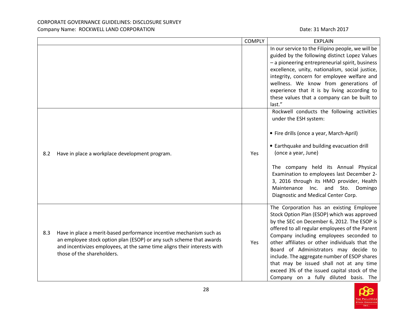# CORPORATE GOVERNANCE GUIDELINES: DISCLOSURE SURVEY

Date: 31 March 2017

|  | Company Name: ROCKWELL LAND CORPORATION |
|--|-----------------------------------------|
|--|-----------------------------------------|

|     |                                                                                                                                                                                                                                                      | <b>COMPLY</b> | <b>EXPLAIN</b>                                                                                                                                                                                                                                                                                                                                                                                                                                                                                                      |
|-----|------------------------------------------------------------------------------------------------------------------------------------------------------------------------------------------------------------------------------------------------------|---------------|---------------------------------------------------------------------------------------------------------------------------------------------------------------------------------------------------------------------------------------------------------------------------------------------------------------------------------------------------------------------------------------------------------------------------------------------------------------------------------------------------------------------|
|     |                                                                                                                                                                                                                                                      |               | In our service to the Filipino people, we will be<br>guided by the following distinct Lopez Values<br>- a pioneering entrepreneurial spirit, business<br>excellence, unity, nationalism, social justice,<br>integrity, concern for employee welfare and<br>wellness. We know from generations of<br>experience that it is by living according to<br>these values that a company can be built to<br>last."                                                                                                           |
| 8.2 | Have in place a workplace development program.                                                                                                                                                                                                       | Yes           | Rockwell conducts the following activities<br>under the ESH system:<br>• Fire drills (once a year, March-April)<br>• Earthquake and building evacuation drill<br>(once a year, June)<br>The company held its Annual Physical<br>Examination to employees last December 2-<br>3, 2016 through its HMO provider, Health<br>Maintenance Inc. and Sto.<br>Domingo<br>Diagnostic and Medical Center Corp.                                                                                                                |
| 8.3 | Have in place a merit-based performance incentive mechanism such as<br>an employee stock option plan (ESOP) or any such scheme that awards<br>and incentivizes employees, at the same time aligns their interests with<br>those of the shareholders. | Yes           | The Corporation has an existing Employee<br>Stock Option Plan (ESOP) which was approved<br>by the SEC on December 6, 2012. The ESOP is<br>offered to all regular employees of the Parent<br>Company including employees seconded to<br>other affiliates or other individuals that the<br>Board of Administrators may decide to<br>include. The aggregate number of ESOP shares<br>that may be issued shall not at any time<br>exceed 3% of the issued capital stock of the<br>Company on a fully diluted basis. The |

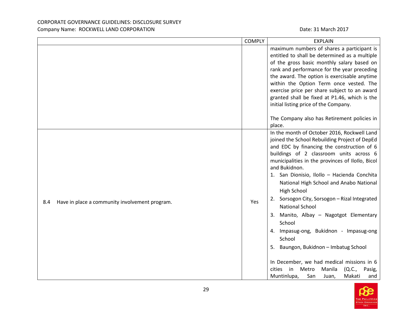|                                                       | <b>COMPLY</b> | <b>EXPLAIN</b>                                                                                                                                                                                                                                                                                                                                                                                                                                                                                                                                                                                                                                                                                                                                      |
|-------------------------------------------------------|---------------|-----------------------------------------------------------------------------------------------------------------------------------------------------------------------------------------------------------------------------------------------------------------------------------------------------------------------------------------------------------------------------------------------------------------------------------------------------------------------------------------------------------------------------------------------------------------------------------------------------------------------------------------------------------------------------------------------------------------------------------------------------|
|                                                       |               | maximum numbers of shares a participant is<br>entitled to shall be determined as a multiple<br>of the gross basic monthly salary based on<br>rank and performance for the year preceding<br>the award. The option is exercisable anytime<br>within the Option Term once vested. The<br>exercise price per share subject to an award<br>granted shall be fixed at P1.46, which is the<br>initial listing price of the Company.                                                                                                                                                                                                                                                                                                                       |
|                                                       |               | The Company also has Retirement policies in<br>place.                                                                                                                                                                                                                                                                                                                                                                                                                                                                                                                                                                                                                                                                                               |
| Have in place a community involvement program.<br>8.4 | Yes           | In the month of October 2016, Rockwell Land<br>joined the School Rebuilding Project of DepEd<br>and EDC by financing the construction of 6<br>buildings of 2 classroom units across 6<br>municipalities in the provinces of Ilollo, Bicol<br>and Bukidnon.<br>1. San Dionisio, Ilollo - Hacienda Conchita<br>National High School and Anabo National<br>High School<br>2. Sorsogon City, Sorsogon - Rizal Integrated<br><b>National School</b><br>3. Manito, Albay - Nagotgot Elementary<br>School<br>4. Impasug-ong, Bukidnon - Impasug-ong<br>School<br>5. Baungon, Bukidnon - Imbatug School<br>In December, we had medical missions in 6<br>(Q.C.,<br>in<br>Metro<br>Manila<br>cities<br>Pasig,<br>Makati<br>Muntinlupa,<br>San<br>and<br>Juan, |

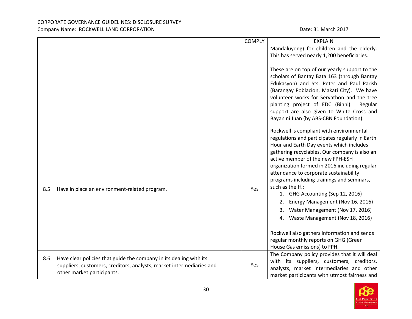|                                                                                                                                                                                 | <b>COMPLY</b> | <b>EXPLAIN</b>                                                                                                                                                                                                                                                                                                                                                                                                                                                                                                                                                                                                                                                                 |
|---------------------------------------------------------------------------------------------------------------------------------------------------------------------------------|---------------|--------------------------------------------------------------------------------------------------------------------------------------------------------------------------------------------------------------------------------------------------------------------------------------------------------------------------------------------------------------------------------------------------------------------------------------------------------------------------------------------------------------------------------------------------------------------------------------------------------------------------------------------------------------------------------|
|                                                                                                                                                                                 |               | Mandaluyong) for children and the elderly.<br>This has served nearly 1,200 beneficiaries.<br>These are on top of our yearly support to the<br>scholars of Bantay Bata 163 (through Bantay<br>Edukasyon) and Sts. Peter and Paul Parish<br>(Barangay Poblacion, Makati City). We have<br>volunteer works for Servathon and the tree<br>planting project of EDC (Binhi).<br>Regular<br>support are also given to White Cross and<br>Bayan ni Juan (by ABS-CBN Foundation).                                                                                                                                                                                                       |
| 8.5<br>Have in place an environment-related program.                                                                                                                            | Yes           | Rockwell is compliant with environmental<br>regulations and participates regularly in Earth<br>Hour and Earth Day events which includes<br>gathering recyclables. Our company is also an<br>active member of the new FPH-ESH<br>organization formed in 2016 including regular<br>attendance to corporate sustainability<br>programs including trainings and seminars,<br>such as the ff.:<br>1. GHG Accounting (Sep 12, 2016)<br>Energy Management (Nov 16, 2016)<br>2.<br>Water Management (Nov 17, 2016)<br>3.<br>4. Waste Management (Nov 18, 2016)<br>Rockwell also gathers information and sends<br>regular monthly reports on GHG (Green<br>House Gas emissions) to FPH. |
| Have clear policies that guide the company in its dealing with its<br>8.6<br>suppliers, customers, creditors, analysts, market intermediaries and<br>other market participants. | Yes           | The Company policy provides that it will deal<br>with its suppliers, customers, creditors,<br>analysts, market intermediaries and other<br>market participants with utmost fairness and                                                                                                                                                                                                                                                                                                                                                                                                                                                                                        |

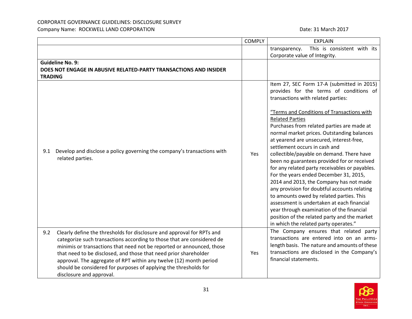# CORPORATE GOVERNANCE GUIDELINES: DISCLOSURE SURVEY

Company Name: ROCKWELL LAND CORPORATION **Date: 31 March 2017** Date: 31 March 2017

|                |                                                                                                                                                                                                                                                                                                                                                                                                                                                                     | <b>COMPLY</b> | <b>EXPLAIN</b>                                                                                                                                                                                                                                                                                                                                                                                                                                                                                                                                                                                                                                                                                                                                                                                                                                                                                  |
|----------------|---------------------------------------------------------------------------------------------------------------------------------------------------------------------------------------------------------------------------------------------------------------------------------------------------------------------------------------------------------------------------------------------------------------------------------------------------------------------|---------------|-------------------------------------------------------------------------------------------------------------------------------------------------------------------------------------------------------------------------------------------------------------------------------------------------------------------------------------------------------------------------------------------------------------------------------------------------------------------------------------------------------------------------------------------------------------------------------------------------------------------------------------------------------------------------------------------------------------------------------------------------------------------------------------------------------------------------------------------------------------------------------------------------|
|                |                                                                                                                                                                                                                                                                                                                                                                                                                                                                     |               | This is consistent with its<br>transparency.                                                                                                                                                                                                                                                                                                                                                                                                                                                                                                                                                                                                                                                                                                                                                                                                                                                    |
|                |                                                                                                                                                                                                                                                                                                                                                                                                                                                                     |               | Corporate value of Integrity.                                                                                                                                                                                                                                                                                                                                                                                                                                                                                                                                                                                                                                                                                                                                                                                                                                                                   |
|                | <b>Guideline No. 9:</b>                                                                                                                                                                                                                                                                                                                                                                                                                                             |               |                                                                                                                                                                                                                                                                                                                                                                                                                                                                                                                                                                                                                                                                                                                                                                                                                                                                                                 |
|                | DOES NOT ENGAGE IN ABUSIVE RELATED-PARTY TRANSACTIONS AND INSIDER                                                                                                                                                                                                                                                                                                                                                                                                   |               |                                                                                                                                                                                                                                                                                                                                                                                                                                                                                                                                                                                                                                                                                                                                                                                                                                                                                                 |
| <b>TRADING</b> |                                                                                                                                                                                                                                                                                                                                                                                                                                                                     |               |                                                                                                                                                                                                                                                                                                                                                                                                                                                                                                                                                                                                                                                                                                                                                                                                                                                                                                 |
| 9.1            | Develop and disclose a policy governing the company's transactions with<br>related parties.                                                                                                                                                                                                                                                                                                                                                                         | Yes           | Item 27, SEC Form 17-A (submitted in 2015)<br>provides for the terms of conditions of<br>transactions with related parties:<br>"Terms and Conditions of Transactions with<br><b>Related Parties</b><br>Purchases from related parties are made at<br>normal market prices. Outstanding balances<br>at yearend are unsecured, interest-free,<br>settlement occurs in cash and<br>collectible/payable on demand. There have<br>been no guarantees provided for or received<br>for any related party receivables or payables.<br>For the years ended December 31, 2015,<br>2014 and 2013, the Company has not made<br>any provision for doubtful accounts relating<br>to amounts owed by related parties. This<br>assessment is undertaken at each financial<br>year through examination of the financial<br>position of the related party and the market<br>in which the related party operates." |
| 9.2            | Clearly define the thresholds for disclosure and approval for RPTs and<br>categorize such transactions according to those that are considered de<br>minimis or transactions that need not be reported or announced, those<br>that need to be disclosed, and those that need prior shareholder<br>approval. The aggregate of RPT within any twelve (12) month period<br>should be considered for purposes of applying the thresholds for<br>disclosure and approval. | Yes           | The Company ensures that related party<br>transactions are entered into on an arms-<br>length basis. The nature and amounts of these<br>transactions are disclosed in the Company's<br>financial statements.                                                                                                                                                                                                                                                                                                                                                                                                                                                                                                                                                                                                                                                                                    |

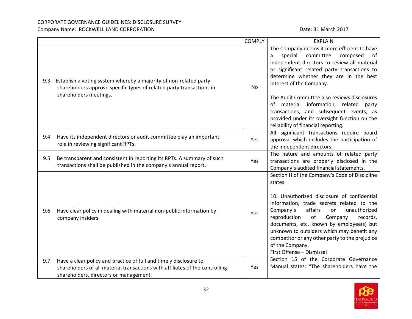# CORPORATE GOVERNANCE GUIDELINES: DISCLOSURE SURVEY

#### Company Name: ROCKWELL LAND CORPORATION **Date: 31 March 2017** Date: 31 March 2017

|     |                                                                                                                                                                                             | <b>COMPLY</b> | <b>EXPLAIN</b>                                                                                                                                                                                                                                                                                                                                                                                                                                        |
|-----|---------------------------------------------------------------------------------------------------------------------------------------------------------------------------------------------|---------------|-------------------------------------------------------------------------------------------------------------------------------------------------------------------------------------------------------------------------------------------------------------------------------------------------------------------------------------------------------------------------------------------------------------------------------------------------------|
| 9.3 | Establish a voting system whereby a majority of non-related party<br>shareholders approve specific types of related party transactions in<br>shareholders meetings.                         | <b>No</b>     | The Company deems it more efficient to have<br>special<br>committee<br>composed<br>of<br>a<br>independent directors to review all material<br>or significant related party transactions to<br>determine whether they are in the best<br>interest of the Company.<br>The Audit Committee also reviews disclosures<br>of material information, related party<br>transactions, and subsequent events, as<br>provided under its oversight function on the |
| 9.4 | Have its independent directors or audit committee play an important<br>role in reviewing significant RPTs.                                                                                  | Yes           | reliability of financial reporting.<br>All significant transactions require board<br>approval which includes the participation of<br>the independent directors.                                                                                                                                                                                                                                                                                       |
| 9.5 | Be transparent and consistent in reporting its RPTs. A summary of such<br>transactions shall be published in the company's annual report.                                                   | Yes           | The nature and amounts of related party<br>transactions are properly disclosed in the<br>Company's audited financial statements.                                                                                                                                                                                                                                                                                                                      |
| 9.6 | Have clear policy in dealing with material non-public information by<br>company insiders.                                                                                                   | Yes           | Section H of the Company's Code of Discipline<br>states:<br>10. Unauthorized disclosure of confidential<br>information, trade secrets related to the<br>affairs<br>Company's<br>unauthorized<br>or<br>of<br>reproduction<br>Company<br>records,<br>documents, etc. known by employee(s) but<br>unknown to outsiders which may benefit any<br>competitor or any other party to the prejudice<br>of the Company.<br>First Offense - Dismissal           |
| 9.7 | Have a clear policy and practice of full and timely disclosure to<br>shareholders of all material transactions with affiliates of the controlling<br>shareholders, directors or management. | Yes           | Section 15 of the Corporate Governance<br>Manual states: "The shareholders have the                                                                                                                                                                                                                                                                                                                                                                   |

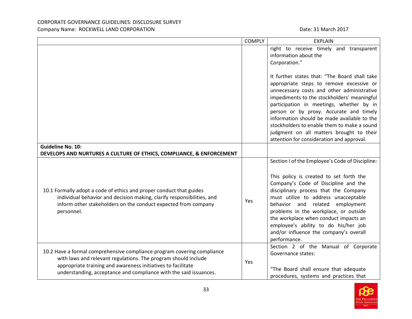|                                                                                                                                                                                                                                                                                | <b>COMPLY</b> | <b>EXPLAIN</b>                                                                                                                                                                                                                                                                                                                                                                                                                                                       |
|--------------------------------------------------------------------------------------------------------------------------------------------------------------------------------------------------------------------------------------------------------------------------------|---------------|----------------------------------------------------------------------------------------------------------------------------------------------------------------------------------------------------------------------------------------------------------------------------------------------------------------------------------------------------------------------------------------------------------------------------------------------------------------------|
|                                                                                                                                                                                                                                                                                |               | right to receive timely and transparent<br>information about the<br>Corporation."                                                                                                                                                                                                                                                                                                                                                                                    |
|                                                                                                                                                                                                                                                                                |               | It further states that: "The Board shall take<br>appropriate steps to remove excessive or<br>unnecessary costs and other administrative<br>impediments to the stockholders' meaningful<br>participation in meetings, whether by in<br>person or by proxy. Accurate and timely<br>information should be made available to the<br>stockholders to enable them to make a sound<br>judgment on all matters brought to their<br>attention for consideration and approval. |
| <b>Guideline No. 10:</b>                                                                                                                                                                                                                                                       |               |                                                                                                                                                                                                                                                                                                                                                                                                                                                                      |
| DEVELOPS AND NURTURES A CULTURE OF ETHICS, COMPLIANCE, & ENFORCEMENT                                                                                                                                                                                                           |               |                                                                                                                                                                                                                                                                                                                                                                                                                                                                      |
| 10.1 Formally adopt a code of ethics and proper conduct that guides<br>individual behavior and decision making, clarify responsibilities, and<br>inform other stakeholders on the conduct expected from company<br>personnel.                                                  | Yes           | Section I of the Employee's Code of Discipline:<br>This policy is created to set forth the<br>Company's Code of Discipline and the<br>disciplinary process that the Company<br>must utilize to address unacceptable<br>behavior and related employment<br>problems in the workplace, or outside<br>the workplace when conduct impacts an<br>employee's ability to do his/her job<br>and/or influence the company's overall<br>performance.                           |
| 10.2 Have a formal comprehensive compliance program covering compliance<br>with laws and relevant regulations. The program should include<br>appropriate training and awareness initiatives to facilitate<br>understanding, acceptance and compliance with the said issuances. |               | Section 2 of the Manual of Corporate<br>Governance states:<br>"The Board shall ensure that adequate<br>procedures, systems and practices that                                                                                                                                                                                                                                                                                                                        |

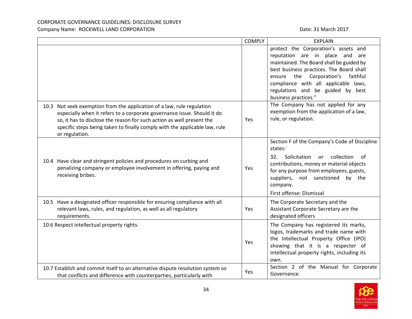|                                                                                                                                                                                                                                                                                                                            | <b>COMPLY</b> | <b>EXPLAIN</b>                                                                                                                                                                                                                                                                                                        |
|----------------------------------------------------------------------------------------------------------------------------------------------------------------------------------------------------------------------------------------------------------------------------------------------------------------------------|---------------|-----------------------------------------------------------------------------------------------------------------------------------------------------------------------------------------------------------------------------------------------------------------------------------------------------------------------|
|                                                                                                                                                                                                                                                                                                                            |               | protect the Corporation's assets and<br>reputation are in place and<br>are<br>maintained. The Board shall be guided by<br>best business practices. The Board shall<br>Corporation's<br>the<br>faithful<br>ensure<br>compliance with all applicable laws,<br>regulations and be guided by best<br>business practices." |
| 10.3 Not seek exemption from the application of a law, rule regulation<br>especially when it refers to a corporate governance issue. Should it do<br>so, it has to disclose the reason for such action as well present the<br>specific steps being taken to finally comply with the applicable law, rule<br>or regulation. | Yes           | The Company has not applied for any<br>exemption from the application of a law,<br>rule, or regulation.                                                                                                                                                                                                               |
| 10.4 Have clear and stringent policies and procedures on curbing and<br>penalizing company or employee involvement in offering, paying and<br>receiving bribes.                                                                                                                                                            | Yes           | Section F of the Company's Code of Discipline<br>states:<br>collection<br>32.<br>Solicitation<br>of<br><b>or</b><br>contributions, money or material objects<br>for any purpose from employees, guests,<br>suppliers, not sanctioned by the<br>company.<br>First offense: Dismissal                                   |
| 10.5 Have a designated officer responsible for ensuring compliance with all<br>relevant laws, rules, and regulation, as well as all regulatory<br>requirements.                                                                                                                                                            | Yes           | The Corporate Secretary and the<br>Assistant Corporate Secretary are the<br>designated officers                                                                                                                                                                                                                       |
| 10.6 Respect intellectual property rights.                                                                                                                                                                                                                                                                                 | Yes           | The Company has registered its marks,<br>logos, trademarks and trade name with<br>the Intellectual Property Office (IPO)<br>showing that it is a respecter of<br>intellectual property rights, including its<br>own.                                                                                                  |
| 10.7 Establish and commit itself to an alternative dispute resolution system so<br>that conflicts and difference with counterparties, particularly with                                                                                                                                                                    | Yes           | Section 2 of the Manual for Corporate<br>Governance:                                                                                                                                                                                                                                                                  |

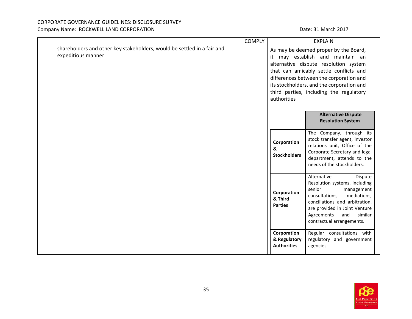|                                                                                                | <b>COMPLY</b> |                                                   | <b>EXPLAIN</b>                                                                                                                                                                                                                                                                                  |
|------------------------------------------------------------------------------------------------|---------------|---------------------------------------------------|-------------------------------------------------------------------------------------------------------------------------------------------------------------------------------------------------------------------------------------------------------------------------------------------------|
| shareholders and other key stakeholders, would be settled in a fair and<br>expeditious manner. |               | authorities                                       | As may be deemed proper by the Board,<br>it may establish and maintain an<br>alternative dispute resolution system<br>that can amicably settle conflicts and<br>differences between the corporation and<br>its stockholders, and the corporation and<br>third parties, including the regulatory |
|                                                                                                |               |                                                   | <b>Alternative Dispute</b><br><b>Resolution System</b>                                                                                                                                                                                                                                          |
|                                                                                                |               | Corporation<br>&<br><b>Stockholders</b>           | The Company, through its<br>stock transfer agent, investor<br>relations unit, Office of the<br>Corporate Secretary and legal<br>department, attends to the<br>needs of the stockholders.                                                                                                        |
|                                                                                                |               | Corporation<br>& Third<br><b>Parties</b>          | Alternative<br>Dispute<br>Resolution systems, including<br>senior<br>management<br>consultations,<br>mediations,<br>conciliations and arbitration,<br>are provided in Joint Venture<br>Agreements<br>and<br>similar<br>contractual arrangements.                                                |
|                                                                                                |               | Corporation<br>& Regulatory<br><b>Authorities</b> | Regular consultations with<br>regulatory and government<br>agencies.                                                                                                                                                                                                                            |

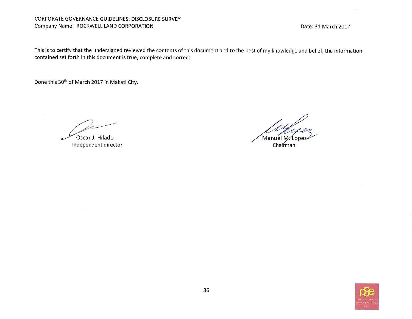#### CORPORATE GOVERNANCE GUIDELINES: DISCLOSURE SURVEY Company Name: ROCKWELL LAND CORPORATION

Date: 31 March 2017

This is to certify that the undersigned reviewed the contents of this document and to the best of my knowledge and belief, the information contained set forth in this document is true, complete and correct.

Done this 30<sup>th</sup> of March 2017 in Makati City.

Oscar J. Hilado

Manuel M Chairman

Independent director

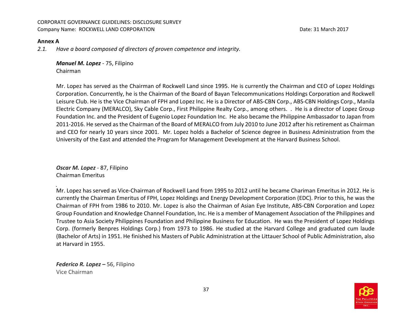#### **Annex A**

*2.1. Have a board composed of directors of proven competence and integrity.* 

*Manuel M. Lopez* - 75, Filipino Chairman

Mr. Lopez has served as the Chairman of Rockwell Land since 1995. He is currently the Chairman and CEO of Lopez Holdings Corporation. Concurrently, he is the Chairman of the Board of Bayan Telecommunications Holdings Corporation and Rockwell Leisure Club. He is the Vice Chairman of FPH and Lopez Inc. He is a Director of ABS-CBN Corp., ABS-CBN Holdings Corp., Manila Electric Company (MERALCO), Sky Cable Corp., First Philippine Realty Corp., among others. . He is a director of Lopez Group Foundation Inc. and the President of Eugenio Lopez Foundation Inc. He also became the Philippine Ambassador to Japan from 2011-2016. He served as the Chairman of the Board of MERALCO from July 2010 to June 2012 after his retirement as Chairman and CEO for nearly 10 years since 2001. Mr. Lopez holds a Bachelor of Science degree in Business Administration from the University of the East and attended the Program for Management Development at the Harvard Business School.

*Oscar M. Lopez* - 87, Filipino Chairman Emeritus

Mr. Lopez has served as Vice-Chairman of Rockwell Land from 1995 to 2012 until he became Chariman Emeritus in 2012. He is currently the Chairman Emeritus of FPH, Lopez Holdings and Energy Development Corporation (EDC). Prior to this, he was the Chairman of FPH from 1986 to 2010. Mr. Lopez is also the Chairman of Asian Eye Institute, ABS-CBN Corporation and Lopez Group Foundation and Knowledge Channel Foundation, Inc. He is a member of Management Association of the Philippines and Trustee to Asia Society Philippines Foundation and Philippine Business for Education. He was the President of Lopez Holdings Corp. (formerly Benpres Holdings Corp.) from 1973 to 1986. He studied at the Harvard College and graduated cum laude (Bachelor of Arts) in 1951. He finished his Masters of Public Administration at the Littauer School of Public Administration, also at Harvard in 1955.

 *Federico R. Lopez –* 56, FilipinoVice Chairman

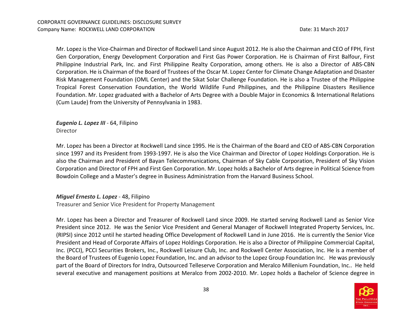Mr. Lopez is the Vice-Chairman and Director of Rockwell Land since August 2012. He is also the Chairman and CEO of FPH, First Gen Corporation, Energy Development Corporation and First Gas Power Corporation. He is Chairman of First Balfour, First Philippine Industrial Park, Inc. and First Philippine Realty Corporation, among others. He is also a Director of ABS-CBN Corporation. He is Chairman of the Board of Trustees of the Oscar M. Lopez Center for Climate Change Adaptation and Disaster Risk Management Foundation (OML Center) and the Sikat Solar Challenge Foundation. He is also a Trustee of the Philippine Tropical Forest Conservation Foundation, the World Wildlife Fund Philippines, and the Philippine Disasters Resilience Foundation. Mr. Lopez graduated with a Bachelor of Arts Degree with a Double Major in Economics & International Relations (Cum Laude) from the University of Pennsylvania in 1983.

 *Eugenio L. Lopez III* - 64, Filipino Director

Mr. Lopez has been a Director at Rockwell Land since 1995. He is the Chairman of the Board and CEO of ABS-CBN Corporation since 1997 and its President from 1993-1997. He is also the Vice Chairman and Director of Lopez Holdings Corporation. He is also the Chairman and President of Bayan Telecommunications, Chairman of Sky Cable Corporation, President of Sky Vision Corporation and Director of FPH and First Gen Corporation. Mr. Lopez holds a Bachelor of Arts degree in Political Science from Bowdoin College and a Master's degree in Business Administration from the Harvard Business School.

#### *Miguel Ernesto L. Lopez* - 48, Filipino

Treasurer and Senior Vice President for Property Management

Mr. Lopez has been a Director and Treasurer of Rockwell Land since 2009. He started serving Rockwell Land as Senior Vice President since 2012. He was the Senior Vice President and General Manager of Rockwell Integrated Property Services, Inc. (RIPSI) since 2012 until he started heading Office Development of Rockwell Land in June 2016. He is currently the Senior Vice President and Head of Corporate Affairs of Lopez Holdings Corporation. He is also a Director of Philippine Commercial Capital, Inc. (PCCI), PCCI Securities Brokers, Inc., Rockwell Leisure Club, Inc. and Rockwell Center Association, Inc. He is a member of the Board of Trustees of Eugenio Lopez Foundation, Inc. and an advisor to the Lopez Group Foundation Inc. He was previously part of the Board of Directors for Indra, Outsourced Telleserve Corporation and Meralco Millenium Foundation, Inc.. He held several executive and management positions at Meralco from 2002-2010. Mr. Lopez holds a Bachelor of Science degree in

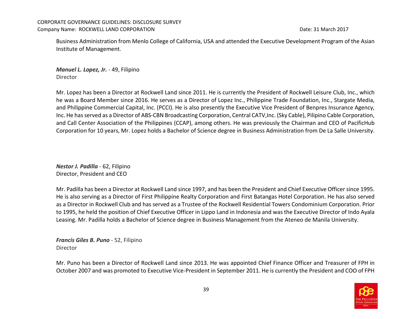Business Administration from Menlo College of California, USA and attended the Executive Development Program of the Asian Institute of Management.

 *Manuel L. Lopez, Jr.* - 49, Filipino Director

Mr. Lopez has been a Director at Rockwell Land since 2011. He is currently the President of Rockwell Leisure Club, Inc., which he was a Board Member since 2016. He serves as a Director of Lopez Inc., Philippine Trade Foundation, Inc., Stargate Media, and Philippine Commercial Capital, Inc. (PCCI). He is also presently the Executive Vice President of Benpres Insurance Agency, Inc. He has served as a Director of ABS-CBN Broadcasting Corporation, Central CATV,Inc. (Sky Cable), Pilipino Cable Corporation, and Call Center Association of the Philippines (CCAP), among others. He was previously the Chairman and CEO of PacificHub Corporation for 10 years, Mr. Lopez holds a Bachelor of Science degree in Business Administration from De La Salle University.

*Nestor J. Padilla* - 62, Filipino Director, President and CEO

Mr. Padilla has been a Director at Rockwell Land since 1997, and has been the President and Chief Executive Officer since 1995. He is also serving as a Director of First Philippine Realty Corporation and First Batangas Hotel Corporation. He has also served as a Director in Rockwell Club and has served as a Trustee of the Rockwell Residential Towers Condominium Corporation. Prior to 1995, he held the position of Chief Executive Officer in Lippo Land in Indonesia and was the Executive Director of Indo Ayala Leasing. Mr. Padilla holds a Bachelor of Science degree in Business Management from the Ateneo de Manila University.

*Francis Giles B. Puno* - 52, Filipino Director

Mr. Puno has been a Director of Rockwell Land since 2013. He was appointed Chief Finance Officer and Treasurer of FPH in October 2007 and was promoted to Executive Vice-President in September 2011. He is currently the President and COO of FPH

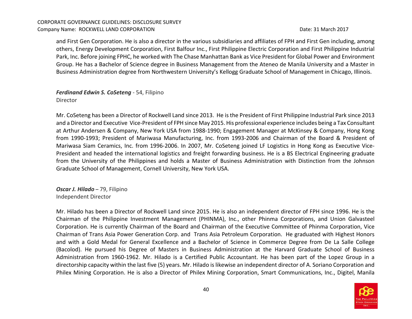and First Gen Corporation. He is also a director in the various subsidiaries and affiliates of FPH and First Gen including, among others, Energy Development Corporation, First Balfour Inc., First Philippine Electric Corporation and First Philippine Industrial Park, Inc. Before joining FPHC, he worked with The Chase Manhattan Bank as Vice President for Global Power and Environment Group. He has a Bachelor of Science degree in Business Management from the Ateneo de Manila University and a Master in Business Administration degree from Northwestern University's Kellogg Graduate School of Management in Chicago, Illinois.

# *Ferdinand Edwin S. CoSeteng* - 54, Filipino

Director

Mr. CoSeteng has been a Director of Rockwell Land since 2013. He is the President of First Philippine Industrial Park since 2013 and a Director and Executive Vice-President of FPH since May 2015. His professional experience includes being a Tax Consultant at Arthur Andersen & Company, New York USA from 1988-1990; Engagement Manager at McKinsey & Company, Hong Kong from 1990-1993; President of Mariwasa Manufacturing, Inc. from 1993-2006 and Chairman of the Board & President of Mariwasa Siam Ceramics, Inc. from 1996-2006. In 2007, Mr. CoSeteng joined LF Logistics in Hong Kong as Executive Vice-President and headed the international logistics and freight forwarding business. He is a BS Electrical Engineering graduate from the University of the Philippines and holds a Master of Business Administration with Distinction from the Johnson Graduate School of Management, Cornell University, New York USA.

*Oscar J. Hilado* – 79, FilipinoIndependent Director

Mr. Hilado has been a Director of Rockwell Land since 2015. He is also an independent director of FPH since 1996. He is the Chairman of the Philippine Investment Management (PHINMA), Inc., other Phinma Corporations, and Union Galvasteel Corporation. He is currently Chairman of the Board and Chairman of the Executive Committee of Phinma Corporation, Vice Chairman of Trans Asia Power Generation Corp. and Trans Asia Petroleum Corporation. He graduated with Highest Honors and with a Gold Medal for General Excellence and a Bachelor of Science in Commerce Degree from De La Salle College (Bacolod). He pursued his Degree of Masters in Business Administration at the Harvard Graduate School of Business Administration from 1960-1962. Mr. Hilado is a Certified Public Accountant. He has been part of the Lopez Group in a directorship capacity within the last five (5) years. Mr. Hilado is likewise an independent director of A. Soriano Corporation and Philex Mining Corporation. He is also a Director of Philex Mining Corporation, Smart Communications, Inc., Digitel, Manila

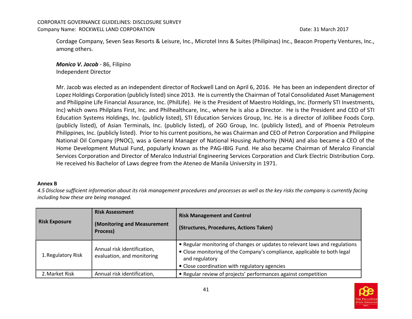Cordage Company, Seven Seas Resorts & Leisure, Inc., Microtel Inns & Suites (Philipinas) Inc., Beacon Property Ventures, Inc., among others.

*Monico V. Jacob* - 86, Filipino Independent Director

Mr. Jacob was elected as an independent director of Rockwell Land on April 6, 2016. He has been an independent director of Lopez Holdings Corporation (publicly listed) since 2013. He is currently the Chairman of Total Consolidated Asset Management and Philippine Life Financial Assurance, Inc. (PhilLife). He is the President of Maestro Holdings, Inc. (formerly STI Investments, Inc) which owns Philplans First, Inc. and Philhealthcare, Inc., where he is also a Director. He is the President and CEO of STI Education Systems Holdings, Inc. (publicly listed), STI Education Services Group, Inc. He is a director of Jollibee Foods Corp. (publicly listed), of Asian Terminals, Inc. (publicly listed), of 2GO Group, Inc. (publicly listed), and of Phoenix Petroleum Philippines, Inc. (publicly listed). Prior to his current positions, he was Chairman and CEO of Petron Corporation and Philippine National Oil Company (PNOC), was a General Manager of National Housing Authority (NHA) and also became a CEO of the Home Development Mutual Fund, popularly known as the PAG-IBIG Fund. He also became Chairman of Meralco Financial Services Corporation and Director of Meralco Industrial Engineering Services Corporation and Clark Electric Distribution Corp. He received his Bachelor of Laws degree from the Ateneo de Manila University in 1971.

#### **Annex B**

 *4.5 Disclose sufficient information about its risk management procedures and processes as well as the key risks the company is currently facing including how these are being managed.* 

| <b>Risk Assessment</b><br><b>Risk Exposure</b><br>(Monitoring and Measurement<br>Process) |                                                           | <b>Risk Management and Control</b><br>(Structures, Procedures, Actions Taken)                                                                                                                                              |  |  |
|-------------------------------------------------------------------------------------------|-----------------------------------------------------------|----------------------------------------------------------------------------------------------------------------------------------------------------------------------------------------------------------------------------|--|--|
| 1. Regulatory Risk                                                                        | Annual risk identification,<br>evaluation, and monitoring | • Regular monitoring of changes or updates to relevant laws and regulations<br>• Close monitoring of the Company's compliance, applicable to both legal<br>and regulatory<br>• Close coordination with regulatory agencies |  |  |
| 2. Market Risk                                                                            | Annual risk identification,                               | • Regular review of projects' performances against competition                                                                                                                                                             |  |  |